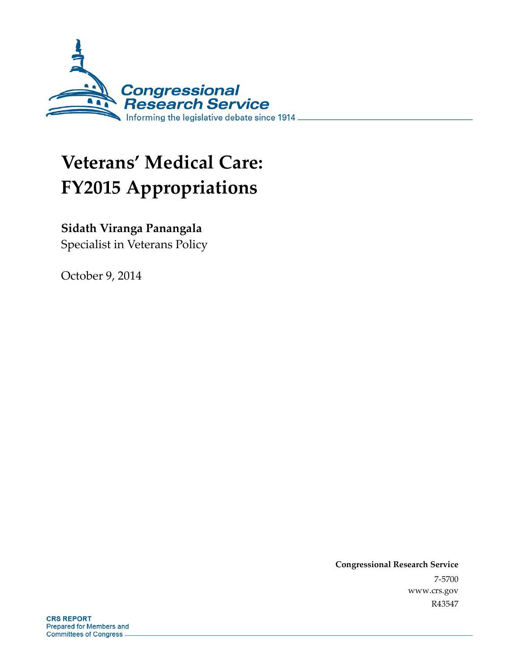

# **Veterans' Medical Care: FY2015 Appropriations**

### **Sidath Viranga Panangala**

Specialist in Veterans Policy

October 9, 2014

**Congressional Research Service**  7-5700 www.crs.gov R43547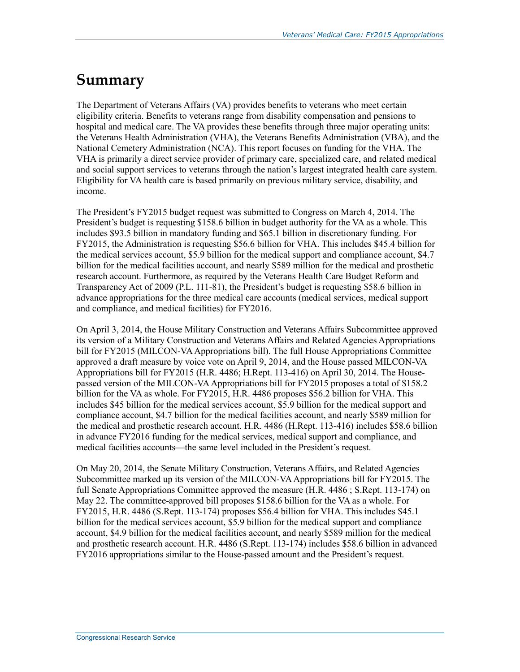## **Summary**

The Department of Veterans Affairs (VA) provides benefits to veterans who meet certain eligibility criteria. Benefits to veterans range from disability compensation and pensions to hospital and medical care. The VA provides these benefits through three major operating units: the Veterans Health Administration (VHA), the Veterans Benefits Administration (VBA), and the National Cemetery Administration (NCA). This report focuses on funding for the VHA. The VHA is primarily a direct service provider of primary care, specialized care, and related medical and social support services to veterans through the nation's largest integrated health care system. Eligibility for VA health care is based primarily on previous military service, disability, and income.

The President's FY2015 budget request was submitted to Congress on March 4, 2014. The President's budget is requesting \$158.6 billion in budget authority for the VA as a whole. This includes \$93.5 billion in mandatory funding and \$65.1 billion in discretionary funding. For FY2015, the Administration is requesting \$56.6 billion for VHA. This includes \$45.4 billion for the medical services account, \$5.9 billion for the medical support and compliance account, \$4.7 billion for the medical facilities account, and nearly \$589 million for the medical and prosthetic research account. Furthermore, as required by the Veterans Health Care Budget Reform and Transparency Act of 2009 (P.L. 111-81), the President's budget is requesting \$58.6 billion in advance appropriations for the three medical care accounts (medical services, medical support and compliance, and medical facilities) for FY2016.

On April 3, 2014, the House Military Construction and Veterans Affairs Subcommittee approved its version of a Military Construction and Veterans Affairs and Related Agencies Appropriations bill for FY2015 (MILCON-VA Appropriations bill). The full House Appropriations Committee approved a draft measure by voice vote on April 9, 2014, and the House passed MILCON-VA Appropriations bill for FY2015 (H.R. 4486; H.Rept. 113-416) on April 30, 2014. The Housepassed version of the MILCON-VA Appropriations bill for FY2015 proposes a total of \$158.2 billion for the VA as whole. For FY2015, H.R. 4486 proposes \$56.2 billion for VHA. This includes \$45 billion for the medical services account, \$5.9 billion for the medical support and compliance account, \$4.7 billion for the medical facilities account, and nearly \$589 million for the medical and prosthetic research account. H.R. 4486 (H.Rept. 113-416) includes \$58.6 billion in advance FY2016 funding for the medical services, medical support and compliance, and medical facilities accounts—the same level included in the President's request.

On May 20, 2014, the Senate Military Construction, Veterans Affairs, and Related Agencies Subcommittee marked up its version of the MILCON-VA Appropriations bill for FY2015. The full Senate Appropriations Committee approved the measure (H.R. 4486 ; S.Rept. 113-174) on May 22. The committee-approved bill proposes \$158.6 billion for the VA as a whole. For FY2015, H.R. 4486 (S.Rept. 113-174) proposes \$56.4 billion for VHA. This includes \$45.1 billion for the medical services account, \$5.9 billion for the medical support and compliance account, \$4.9 billion for the medical facilities account, and nearly \$589 million for the medical and prosthetic research account. H.R. 4486 (S.Rept. 113-174) includes \$58.6 billion in advanced FY2016 appropriations similar to the House-passed amount and the President's request.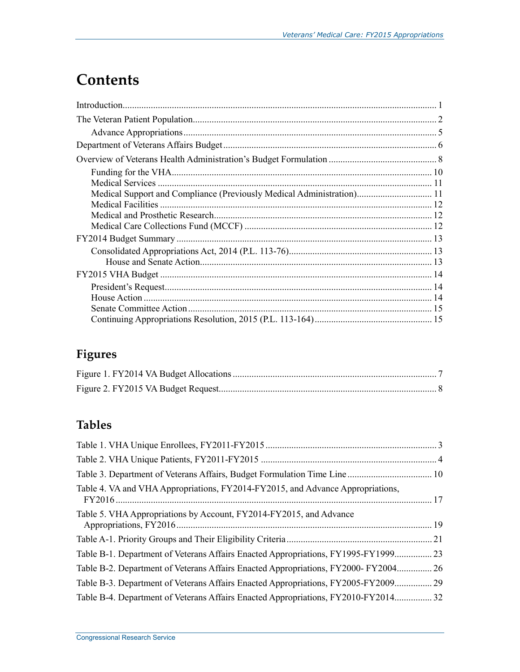# **Contents**

| Medical Support and Compliance (Previously Medical Administration) 11 |  |
|-----------------------------------------------------------------------|--|
|                                                                       |  |
|                                                                       |  |
|                                                                       |  |
|                                                                       |  |
|                                                                       |  |
|                                                                       |  |
|                                                                       |  |
|                                                                       |  |
|                                                                       |  |
|                                                                       |  |
|                                                                       |  |

## **Figures**

## **Tables**

| Table 4. VA and VHA Appropriations, FY2014-FY2015, and Advance Appropriations,    |    |
|-----------------------------------------------------------------------------------|----|
| Table 5. VHA Appropriations by Account, FY2014-FY2015, and Advance                |    |
|                                                                                   |    |
| Table B-1. Department of Veterans Affairs Enacted Appropriations, FY1995-FY1999   | 23 |
| Table B-2. Department of Veterans Affairs Enacted Appropriations, FY2000-FY2004   | 26 |
| Table B-3. Department of Veterans Affairs Enacted Appropriations, FY2005-FY200929 |    |
| Table B-4. Department of Veterans Affairs Enacted Appropriations, FY2010-FY201432 |    |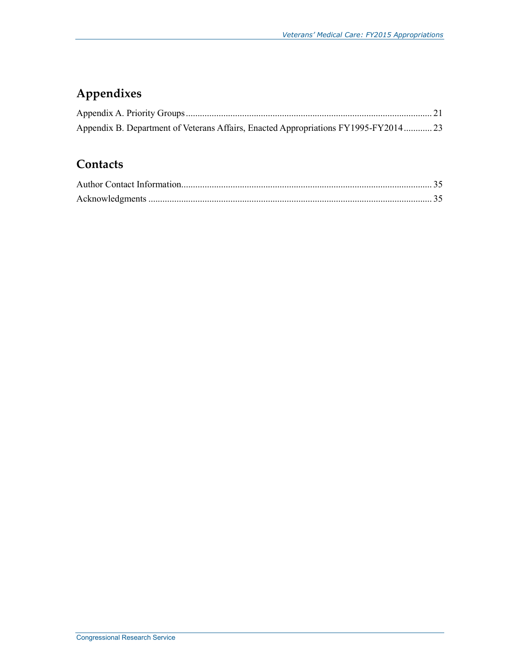## **Appendixes**

| Appendix B. Department of Veterans Affairs, Enacted Appropriations FY1995-FY2014 23 |  |
|-------------------------------------------------------------------------------------|--|

### **Contacts**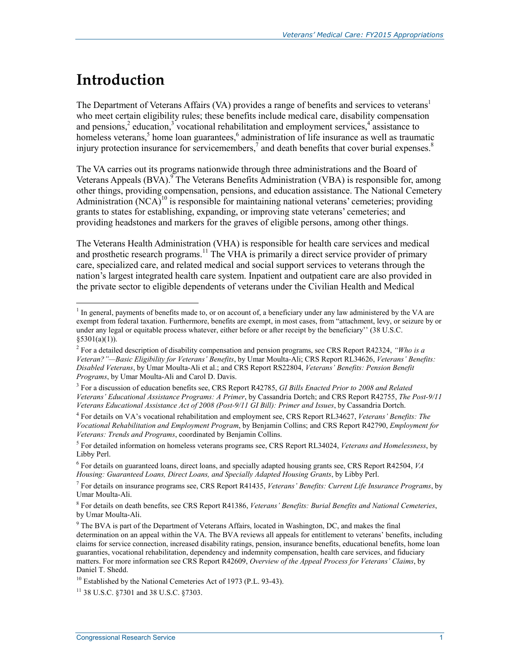# **Introduction**

1

The Department of Veterans Affairs (VA) provides a range of benefits and services to veterans<sup>1</sup> who meet certain eligibility rules; these benefits include medical care, disability compensation and pensions, $\frac{2}{3}$  education, $\frac{3}{3}$  vocational rehabilitation and employment services, $\frac{4}{3}$  assistance to homeless veterans,<sup>5</sup> home loan guarantees, $6$  administration of life insurance as well as traumatic injury protection insurance for servicemembers, $^7$  and death benefits that cover burial expenses. $^8$ 

The VA carries out its programs nationwide through three administrations and the Board of Veterans Appeals  $(BVA)$ . <sup>9</sup> The Veterans Benefits Administration (VBA) is responsible for, among other things, providing compensation, pensions, and education assistance. The National Cemetery Administration  $(NCA)^{10}$  is responsible for maintaining national veterans' cemeteries; providing grants to states for establishing, expanding, or improving state veterans' cemeteries; and providing headstones and markers for the graves of eligible persons, among other things.

The Veterans Health Administration (VHA) is responsible for health care services and medical and prosthetic research programs.<sup>11</sup> The VHA is primarily a direct service provider of primary care, specialized care, and related medical and social support services to veterans through the nation's largest integrated health care system. Inpatient and outpatient care are also provided in the private sector to eligible dependents of veterans under the Civilian Health and Medical

<sup>&</sup>lt;sup>1</sup> In general, payments of benefits made to, or on account of, a beneficiary under any law administered by the VA are exempt from federal taxation. Furthermore, benefits are exempt, in most cases, from "attachment, levy, or seizure by or under any legal or equitable process whatever, either before or after receipt by the beneficiary'' (38 U.S.C.  $§5301(a)(1)).$ 

<sup>2</sup> For a detailed description of disability compensation and pension programs, see CRS Report R42324, *"Who is a Veteran?"—Basic Eligibility for Veterans' Benefits*, by Umar Moulta-Ali; CRS Report RL34626, *Veterans' Benefits: Disabled Veterans*, by Umar Moulta-Ali et al.; and CRS Report RS22804, *Veterans' Benefits: Pension Benefit Programs*, by Umar Moulta-Ali and Carol D. Davis.

<sup>3</sup> For a discussion of education benefits see, CRS Report R42785, *GI Bills Enacted Prior to 2008 and Related Veterans' Educational Assistance Programs: A Primer*, by Cassandria Dortch; and CRS Report R42755, *The Post-9/11 Veterans Educational Assistance Act of 2008 (Post-9/11 GI Bill): Primer and Issues*, by Cassandria Dortch.

<sup>4</sup> For details on VA's vocational rehabilitation and employment see, CRS Report RL34627, *Veterans' Benefits: The Vocational Rehabilitation and Employment Program*, by Benjamin Collins; and CRS Report R42790, *Employment for Veterans: Trends and Programs*, coordinated by Benjamin Collins.

<sup>5</sup> For detailed information on homeless veterans programs see, CRS Report RL34024, *Veterans and Homelessness*, by Libby Perl.

<sup>6</sup> For details on guaranteed loans, direct loans, and specially adapted housing grants see, CRS Report R42504, *VA Housing: Guaranteed Loans, Direct Loans, and Specially Adapted Housing Grants*, by Libby Perl.

<sup>7</sup> For details on insurance programs see, CRS Report R41435, *Veterans' Benefits: Current Life Insurance Programs*, by Umar Moulta-Ali.

<sup>8</sup> For details on death benefits, see CRS Report R41386, *Veterans' Benefits: Burial Benefits and National Cemeteries*, by Umar Moulta-Ali.

<sup>&</sup>lt;sup>9</sup> The BVA is part of the Department of Veterans Affairs, located in Washington, DC, and makes the final determination on an appeal within the VA. The BVA reviews all appeals for entitlement to veterans' benefits, including claims for service connection, increased disability ratings, pension, insurance benefits, educational benefits, home loan guaranties, vocational rehabilitation, dependency and indemnity compensation, health care services, and fiduciary matters. For more information see CRS Report R42609, *Overview of the Appeal Process for Veterans' Claims*, by Daniel T. Shedd.

 $10$  Established by the National Cemeteries Act of 1973 (P.L. 93-43).

<sup>11 38</sup> U.S.C. §7301 and 38 U.S.C. §7303.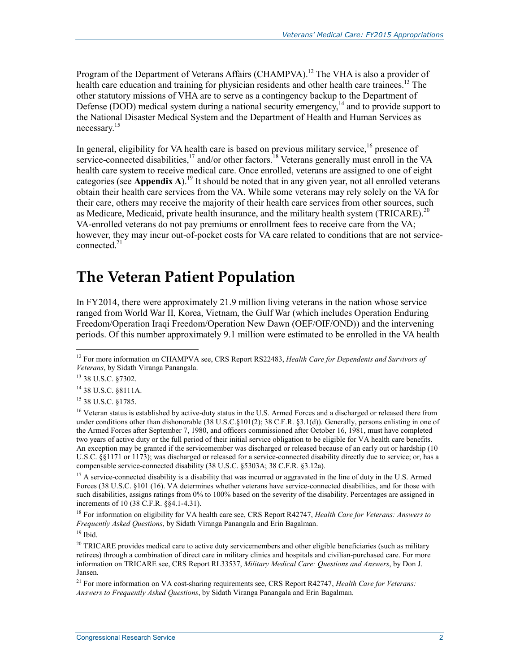Program of the Department of Veterans Affairs (CHAMPVA).<sup>12</sup> The VHA is also a provider of health care education and training for physician residents and other health care trainees.<sup>13</sup> The other statutory missions of VHA are to serve as a contingency backup to the Department of Defense (DOD) medical system during a national security emergency, $14$  and to provide support to the National Disaster Medical System and the Department of Health and Human Services as necessary.<sup>15</sup>

In general, eligibility for VA health care is based on previous military service,  $16$  presence of service-connected disabilities,  $17$  and/or other factors.<sup>18</sup> Veterans generally must enroll in the VA health care system to receive medical care. Once enrolled, veterans are assigned to one of eight categories (see **Appendix A**).<sup>19</sup> It should be noted that in any given year, not all enrolled veterans obtain their health care services from the VA. While some veterans may rely solely on the VA for their care, others may receive the majority of their health care services from other sources, such as Medicare, Medicaid, private health insurance, and the military health system (TRICARE).<sup>20</sup> VA-enrolled veterans do not pay premiums or enrollment fees to receive care from the VA; however, they may incur out-of-pocket costs for VA care related to conditions that are not serviceconnected.<sup>21</sup>

## **The Veteran Patient Population**

In FY2014, there were approximately 21.9 million living veterans in the nation whose service ranged from World War II, Korea, Vietnam, the Gulf War (which includes Operation Enduring Freedom/Operation Iraqi Freedom/Operation New Dawn (OEF/OIF/OND)) and the intervening periods. Of this number approximately 9.1 million were estimated to be enrolled in the VA health

1

 $17$  A service-connected disability is a disability that was incurred or aggravated in the line of duty in the U.S. Armed Forces (38 U.S.C. §101 (16). VA determines whether veterans have service-connected disabilities, and for those with such disabilities, assigns ratings from 0% to 100% based on the severity of the disability. Percentages are assigned in increments of 10 (38 C.F.R. §§4.1-4.31).

18 For information on eligibility for VA health care see, CRS Report R42747, *Health Care for Veterans: Answers to Frequently Asked Questions*, by Sidath Viranga Panangala and Erin Bagalman.

 $19$  Ibid.

<sup>20</sup> TRICARE provides medical care to active duty servicemembers and other eligible beneficiaries (such as military retirees) through a combination of direct care in military clinics and hospitals and civilian-purchased care. For more information on TRICARE see, CRS Report RL33537, *Military Medical Care: Questions and Answers*, by Don J. Jansen.

21 For more information on VA cost-sharing requirements see, CRS Report R42747, *Health Care for Veterans: Answers to Frequently Asked Questions*, by Sidath Viranga Panangala and Erin Bagalman.

<sup>12</sup> For more information on CHAMPVA see, CRS Report RS22483, *Health Care for Dependents and Survivors of Veterans*, by Sidath Viranga Panangala.

<sup>13 38</sup> U.S.C. §7302.

<sup>14 38</sup> U.S.C. §8111A.

<sup>15 38</sup> U.S.C. §1785.

<sup>&</sup>lt;sup>16</sup> Veteran status is established by active-duty status in the U.S. Armed Forces and a discharged or released there from under conditions other than dishonorable (38 U.S.C.§101(2); 38 C.F.R. §3.1(d)). Generally, persons enlisting in one of the Armed Forces after September 7, 1980, and officers commissioned after October 16, 1981, must have completed two years of active duty or the full period of their initial service obligation to be eligible for VA health care benefits. An exception may be granted if the servicemember was discharged or released because of an early out or hardship (10 U.S.C. §§1171 or 1173); was discharged or released for a service-connected disability directly due to service; or, has a compensable service-connected disability (38 U.S.C. §5303A; 38 C.F.R. §3.12a).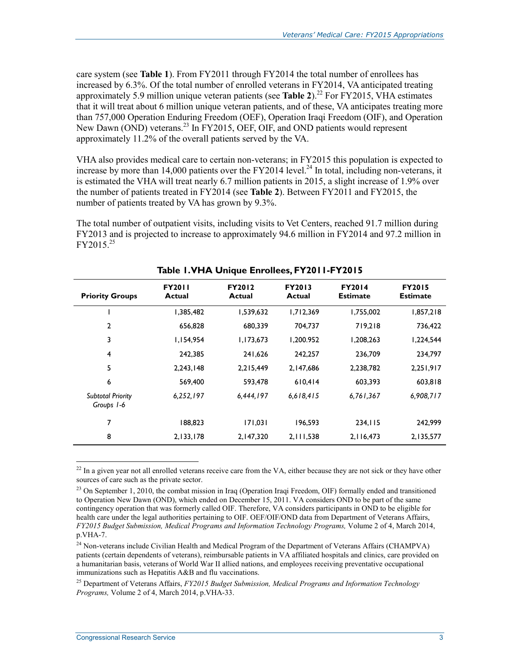care system (see **Table 1**). From FY2011 through FY2014 the total number of enrollees has increased by 6.3%. Of the total number of enrolled veterans in FY2014, VA anticipated treating approximately 5.9 million unique veteran patients (see **Table 2**).<sup>22</sup> For FY2015, VHA estimates that it will treat about 6 million unique veteran patients, and of these, VA anticipates treating more than 757,000 Operation Enduring Freedom (OEF), Operation Iraqi Freedom (OIF), and Operation New Dawn (OND) veterans.<sup>23</sup> In FY2015, OEF, OIF, and OND patients would represent approximately 11.2% of the overall patients served by the VA.

VHA also provides medical care to certain non-veterans; in FY2015 this population is expected to increase by more than 14,000 patients over the FY2014 level.<sup>24</sup> In total, including non-veterans, it is estimated the VHA will treat nearly 6.7 million patients in 2015, a slight increase of 1.9% over the number of patients treated in FY2014 (see **Table 2**). Between FY2011 and FY2015, the number of patients treated by VA has grown by 9.3%.

The total number of outpatient visits, including visits to Vet Centers, reached 91.7 million during FY2013 and is projected to increase to approximately 94.6 million in FY2014 and 97.2 million in  $FY2015^{25}$ 

| <b>Priority Groups</b>                 | <b>FY2011</b><br>Actual | <b>FY2012</b><br>Actual | <b>FY2013</b><br>Actual | <b>FY2014</b><br><b>Estimate</b> | <b>FY2015</b><br><b>Estimate</b> |
|----------------------------------------|-------------------------|-------------------------|-------------------------|----------------------------------|----------------------------------|
|                                        | 1,385,482               | 1,539,632               | 1,712,369               | 1,755,002                        | 1,857,218                        |
| $\overline{2}$                         | 656,828                 | 680,339                 | 704.737                 | 719.218                          | 736,422                          |
| 3                                      | 1,154,954               | 1,173,673               | 1,200.952               | 1,208,263                        | 1,224,544                        |
| $\overline{4}$                         | 242.385                 | 241,626                 | 242.257                 | 236.709                          | 234,797                          |
| 5                                      | 2,243,148               | 2,215,449               | 2,147,686               | 2,238,782                        | 2,251,917                        |
| 6                                      | 569,400                 | 593.478                 | 610,414                 | 603.393                          | 603,818                          |
| <b>Subtotal Priority</b><br>Groups 1-6 | 6,252,197               | 6,444,197               | 6,618,415               | 6,761,367                        | 6,908,717                        |
| 7                                      | 188.823                 | 171,031                 | 196.593                 | 234.115                          | 242,999                          |
| 8                                      | 2,133,178               | 2,147,320               | 2,111,538               | 2, 116, 473                      | 2,135,577                        |

**Table 1. VHA Unique Enrollees, FY2011-FY2015** 

 $^{22}$  In a given year not all enrolled veterans receive care from the VA, either because they are not sick or they have other sources of care such as the private sector.

<sup>23</sup> On September 1, 2010, the combat mission in Iraq (Operation Iraqi Freedom, OIF) formally ended and transitioned to Operation New Dawn (OND), which ended on December 15, 2011. VA considers OND to be part of the same contingency operation that was formerly called OIF. Therefore, VA considers participants in OND to be eligible for health care under the legal authorities pertaining to OIF. OEF/OIF/OND data from Department of Veterans Affairs, *FY2015 Budget Submission, Medical Programs and Information Technology Programs,* Volume 2 of 4, March 2014, p.VHA-7.

<u>.</u>

<sup>&</sup>lt;sup>24</sup> Non-veterans include Civilian Health and Medical Program of the Department of Veterans Affairs (CHAMPVA) patients (certain dependents of veterans), reimbursable patients in VA affiliated hospitals and clinics, care provided on a humanitarian basis, veterans of World War II allied nations, and employees receiving preventative occupational immunizations such as Hepatitis A&B and flu vaccinations.

<sup>25</sup> Department of Veterans Affairs, *FY2015 Budget Submission, Medical Programs and Information Technology Programs,* Volume 2 of 4, March 2014, p.VHA-33.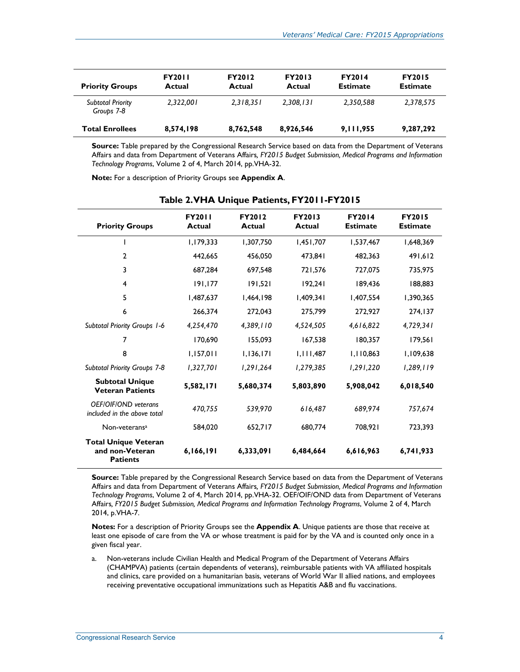| <b>Priority Groups</b>                 | <b>FY2011</b><br>Actual | <b>FY2012</b><br>Actual | <b>FY2013</b><br>Actual | <b>FY2014</b><br><b>Estimate</b> | <b>FY2015</b><br><b>Estimate</b> |
|----------------------------------------|-------------------------|-------------------------|-------------------------|----------------------------------|----------------------------------|
| <b>Subtotal Priority</b><br>Groups 7-8 | 2.322.001               | 2,318,351               | 2,308,131               | 2,350,588                        | 2,378,575                        |
| <b>Total Enrollees</b>                 | 8,574,198               | 8,762,548               | 8,926,546               | 9, 111, 955                      | 9,287,292                        |

**Source:** Table prepared by the Congressional Research Service based on data from the Department of Veterans Affairs and data from Department of Veterans Affairs*, FY2015 Budget Submission, Medical Programs and Information Technology Programs*, Volume 2 of 4, March 2014, pp.VHA-32.

**Note:** For a description of Priority Groups see **Appendix A**.

| <b>Priority Groups</b>                                            | <b>FY2011</b><br><b>Actual</b> | <b>FY2012</b><br>Actual | <b>FY2013</b><br><b>Actual</b> | <b>FY2014</b><br><b>Estimate</b> | <b>FY2015</b><br><b>Estimate</b> |
|-------------------------------------------------------------------|--------------------------------|-------------------------|--------------------------------|----------------------------------|----------------------------------|
|                                                                   | 1,179,333                      | 1,307,750               | 1,451,707                      | 1,537,467                        | 1,648,369                        |
| $\mathbf{2}$                                                      | 442,665                        | 456,050                 | 473,841                        | 482,363                          | 491,612                          |
| 3                                                                 | 687,284                        | 697,548                 | 721,576                        | 727,075                          | 735,975                          |
| 4                                                                 | 191, 177                       | 191,521                 | 192,241                        | 189.436                          | 188,883                          |
| 5                                                                 | 1,487,637                      | 1,464,198               | 1,409,341                      | 1,407,554                        | 1,390,365                        |
| 6                                                                 | 266,374                        | 272,043                 | 275,799                        | 272,927                          | 274,137                          |
| <b>Subtotal Priority Groups 1-6</b>                               | 4,254,470                      | 4,389,110               | 4,524,505                      | 4,616,822                        | 4,729,341                        |
| 7                                                                 | 170,690                        | 155,093                 | 167,538                        | 180,357                          | 179,561                          |
| 8                                                                 | 1,157,011                      | 1,136,171               | 1,111,487                      | 1,110,863                        | 1,109,638                        |
| Subtotal Priority Groups 7-8                                      | 1,327,701                      | 1,291,264               | 1,279,385                      | 1,291,220                        | 1,289,119                        |
| <b>Subtotal Unique</b><br><b>Veteran Patients</b>                 | 5,582,171                      | 5,680,374               | 5,803,890                      | 5,908,042                        | 6,018,540                        |
| OEF/OIF/OND veterans<br>included in the above total               | 470,755                        | 539,970                 | 616,487                        | 689.974                          | 757,674                          |
| Non-veterans <sup>a</sup>                                         | 584,020                        | 652,717                 | 680,774                        | 708,921                          | 723,393                          |
| <b>Total Unique Veteran</b><br>and non-Veteran<br><b>Patients</b> | 6,166,191                      | 6,333,091               | 6,484,664                      | 6,616,963                        | 6,741,933                        |

**Table 2. VHA Unique Patients, FY2011-FY2015** 

**Source:** Table prepared by the Congressional Research Service based on data from the Department of Veterans Affairs and data from Department of Veterans Affairs*, FY2015 Budget Submission, Medical Programs and Information Technology Programs*, Volume 2 of 4, March 2014, pp.VHA-32. OEF/OIF/OND data from Department of Veterans Affairs*, FY2015 Budget Submission, Medical Programs and Information Technology Programs*, Volume 2 of 4, March 2014, p.VHA-7.

**Notes:** For a description of Priority Groups see the **Appendix A**. Unique patients are those that receive at least one episode of care from the VA or whose treatment is paid for by the VA and is counted only once in a given fiscal year.

a. Non-veterans include Civilian Health and Medical Program of the Department of Veterans Affairs (CHAMPVA) patients (certain dependents of veterans), reimbursable patients with VA affiliated hospitals and clinics, care provided on a humanitarian basis, veterans of World War II allied nations, and employees receiving preventative occupational immunizations such as Hepatitis A&B and flu vaccinations.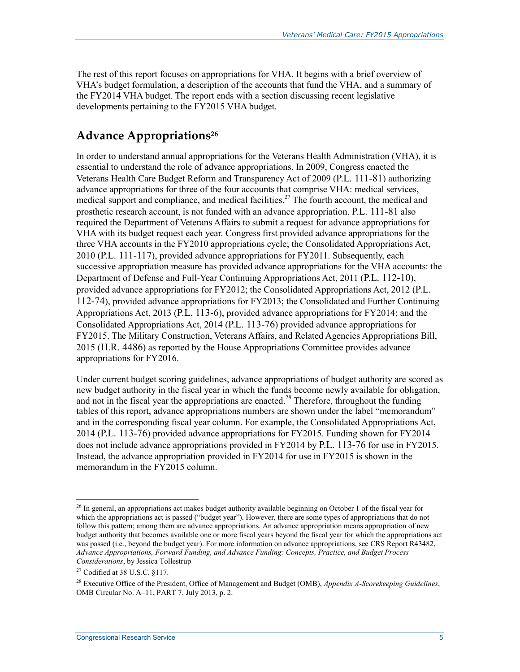The rest of this report focuses on appropriations for VHA. It begins with a brief overview of VHA's budget formulation, a description of the accounts that fund the VHA, and a summary of the FY2014 VHA budget. The report ends with a section discussing recent legislative developments pertaining to the FY2015 VHA budget.

## **Advance Appropriations26**

In order to understand annual appropriations for the Veterans Health Administration (VHA), it is essential to understand the role of advance appropriations. In 2009, Congress enacted the Veterans Health Care Budget Reform and Transparency Act of 2009 (P.L. 111-81) authorizing advance appropriations for three of the four accounts that comprise VHA: medical services, medical support and compliance, and medical facilities.<sup>27</sup> The fourth account, the medical and prosthetic research account, is not funded with an advance appropriation. P.L. 111-81 also required the Department of Veterans Affairs to submit a request for advance appropriations for VHA with its budget request each year. Congress first provided advance appropriations for the three VHA accounts in the FY2010 appropriations cycle; the Consolidated Appropriations Act, 2010 (P.L. 111-117), provided advance appropriations for FY2011. Subsequently, each successive appropriation measure has provided advance appropriations for the VHA accounts: the Department of Defense and Full-Year Continuing Appropriations Act, 2011 (P.L. 112-10), provided advance appropriations for FY2012; the Consolidated Appropriations Act, 2012 (P.L. 112-74), provided advance appropriations for FY2013; the Consolidated and Further Continuing Appropriations Act, 2013 (P.L. 113-6), provided advance appropriations for FY2014; and the Consolidated Appropriations Act, 2014 (P.L. 113-76) provided advance appropriations for FY2015. The Military Construction, Veterans Affairs, and Related Agencies Appropriations Bill, 2015 (H.R. 4486) as reported by the House Appropriations Committee provides advance appropriations for FY2016.

Under current budget scoring guidelines, advance appropriations of budget authority are scored as new budget authority in the fiscal year in which the funds become newly available for obligation, and not in the fiscal year the appropriations are enacted.<sup>28</sup> Therefore, throughout the funding tables of this report, advance appropriations numbers are shown under the label "memorandum" and in the corresponding fiscal year column. For example, the Consolidated Appropriations Act, 2014 (P.L. 113-76) provided advance appropriations for FY2015. Funding shown for FY2014 does not include advance appropriations provided in FY2014 by P.L. 113-76 for use in FY2015. Instead, the advance appropriation provided in FY2014 for use in FY2015 is shown in the memorandum in the FY2015 column.

 $^{26}$  In general, an appropriations act makes budget authority available beginning on October 1 of the fiscal year for which the appropriations act is passed ("budget year"). However, there are some types of appropriations that do not follow this pattern; among them are advance appropriations. An advance appropriation means appropriation of new budget authority that becomes available one or more fiscal years beyond the fiscal year for which the appropriations act was passed (i.e., beyond the budget year). For more information on advance appropriations, see CRS Report R43482, *Advance Appropriations, Forward Funding, and Advance Funding: Concepts, Practice, and Budget Process Considerations*, by Jessica Tollestrup

<sup>27</sup> Codified at 38 U.S.C. §117.

<sup>28</sup> Executive Office of the President, Office of Management and Budget (OMB), *Appendix A-Scorekeeping Guidelines*, OMB Circular No. A–11, PART 7, July 2013, p. 2.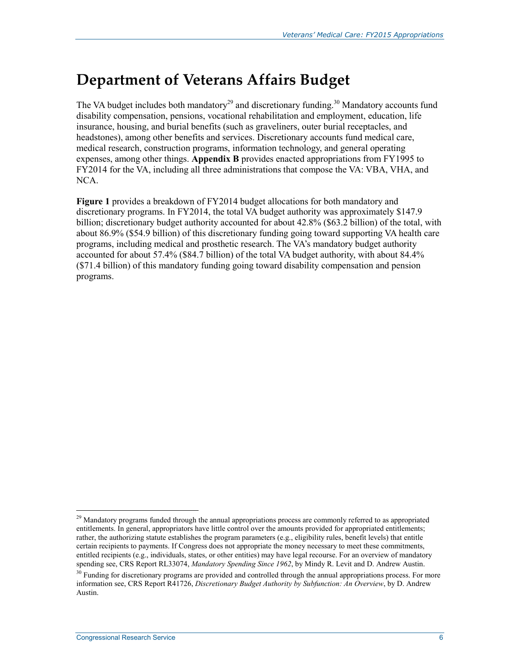# **Department of Veterans Affairs Budget**

The VA budget includes both mandatory<sup>29</sup> and discretionary funding.<sup>30</sup> Mandatory accounts fund disability compensation, pensions, vocational rehabilitation and employment, education, life insurance, housing, and burial benefits (such as graveliners, outer burial receptacles, and headstones), among other benefits and services. Discretionary accounts fund medical care, medical research, construction programs, information technology, and general operating expenses, among other things. **Appendix B** provides enacted appropriations from FY1995 to FY2014 for the VA, including all three administrations that compose the VA: VBA, VHA, and NCA.

**Figure 1** provides a breakdown of FY2014 budget allocations for both mandatory and discretionary programs. In FY2014, the total VA budget authority was approximately \$147.9 billion; discretionary budget authority accounted for about 42.8% (\$63.2 billion) of the total, with about 86.9% (\$54.9 billion) of this discretionary funding going toward supporting VA health care programs, including medical and prosthetic research. The VA's mandatory budget authority accounted for about 57.4% (\$84.7 billion) of the total VA budget authority, with about 84.4% (\$71.4 billion) of this mandatory funding going toward disability compensation and pension programs.

<sup>1</sup> <sup>29</sup> Mandatory programs funded through the annual appropriations process are commonly referred to as appropriated entitlements. In general, appropriators have little control over the amounts provided for appropriated entitlements; rather, the authorizing statute establishes the program parameters (e.g., eligibility rules, benefit levels) that entitle certain recipients to payments. If Congress does not appropriate the money necessary to meet these commitments, entitled recipients (e.g., individuals, states, or other entities) may have legal recourse. For an overview of mandatory spending see, CRS Report RL33074, *Mandatory Spending Since 1962*, by Mindy R. Levit and D. Andrew Austin.

<sup>&</sup>lt;sup>30</sup> Funding for discretionary programs are provided and controlled through the annual appropriations process. For more information see, CRS Report R41726, *Discretionary Budget Authority by Subfunction: An Overview*, by D. Andrew Austin.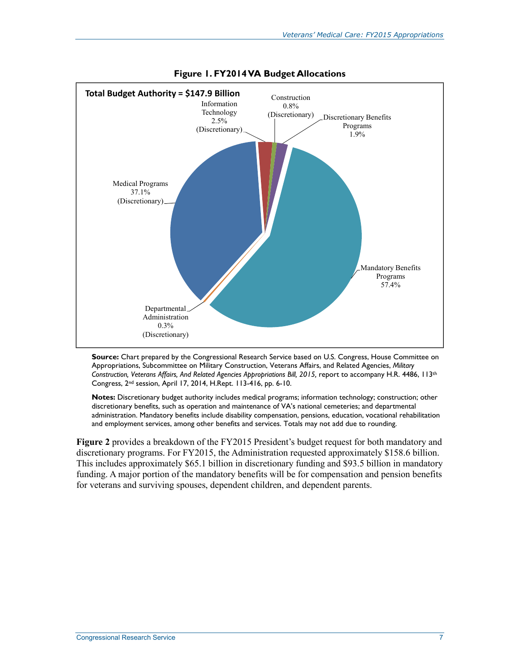

**Figure 1. FY2014 VA Budget Allocations** 

**Source:** Chart prepared by the Congressional Research Service based on U.S. Congress, House Committee on Appropriations, Subcommittee on Military Construction, Veterans Affairs, and Related Agencies, *Military Construction, Veterans Affairs, And Related Agencies Appropriations Bill, 2015,* report to accompany H.R. 4486, 113th Congress, 2nd session, April 17, 2014, H.Rept. 113-416, pp. 6-10.

**Notes:** Discretionary budget authority includes medical programs; information technology; construction; other discretionary benefits, such as operation and maintenance of VA's national cemeteries; and departmental administration. Mandatory benefits include disability compensation, pensions, education, vocational rehabilitation and employment services, among other benefits and services. Totals may not add due to rounding.

**Figure 2** provides a breakdown of the FY2015 President's budget request for both mandatory and discretionary programs. For FY2015, the Administration requested approximately \$158.6 billion. This includes approximately \$65.1 billion in discretionary funding and \$93.5 billion in mandatory funding. A major portion of the mandatory benefits will be for compensation and pension benefits for veterans and surviving spouses, dependent children, and dependent parents.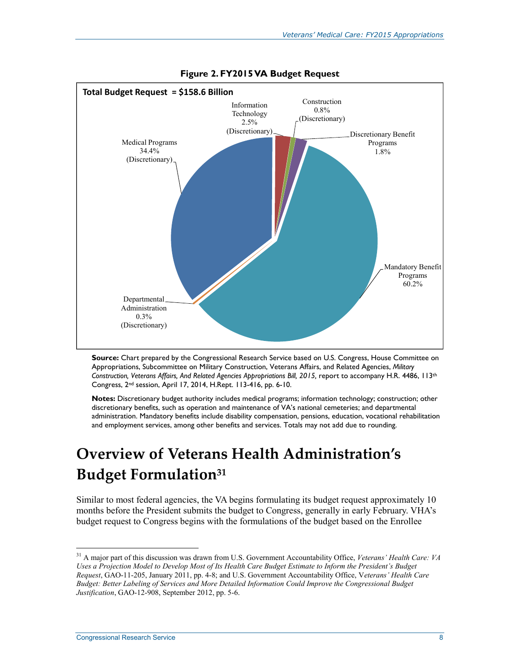

**Figure 2. FY2015 VA Budget Request** 

**Source:** Chart prepared by the Congressional Research Service based on U.S. Congress, House Committee on Appropriations, Subcommittee on Military Construction, Veterans Affairs, and Related Agencies, *Military Construction, Veterans Affairs, And Related Agencies Appropriations Bill, 2015,* report to accompany H.R. 4486, 113th Congress, 2nd session, April 17, 2014, H.Rept. 113-416, pp. 6-10.

**Notes:** Discretionary budget authority includes medical programs; information technology; construction; other discretionary benefits, such as operation and maintenance of VA's national cemeteries; and departmental administration. Mandatory benefits include disability compensation, pensions, education, vocational rehabilitation and employment services, among other benefits and services. Totals may not add due to rounding.

# **Overview of Veterans Health Administration's Budget Formulation31**

Similar to most federal agencies, the VA begins formulating its budget request approximately 10 months before the President submits the budget to Congress, generally in early February. VHA's budget request to Congress begins with the formulations of the budget based on the Enrollee

<sup>31</sup> A major part of this discussion was drawn from U.S. Government Accountability Office, *Veterans' Health Care: VA Uses a Projection Model to Develop Most of Its Health Care Budget Estimate to Inform the President's Budget Request*, GAO-11-205, January 2011, pp. 4-8; and U.S. Government Accountability Office, V*eterans' Health Care Budget: Better Labeling of Services and More Detailed Information Could Improve the Congressional Budget Justification*, GAO-12-908, September 2012, pp. 5-6.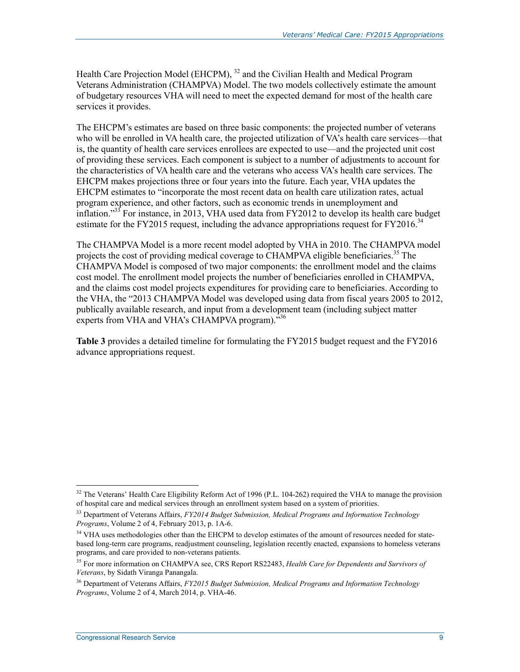Health Care Projection Model (EHCPM), <sup>32</sup> and the Civilian Health and Medical Program Veterans Administration (CHAMPVA) Model. The two models collectively estimate the amount of budgetary resources VHA will need to meet the expected demand for most of the health care services it provides.

The EHCPM's estimates are based on three basic components: the projected number of veterans who will be enrolled in VA health care, the projected utilization of VA's health care services—that is, the quantity of health care services enrollees are expected to use—and the projected unit cost of providing these services. Each component is subject to a number of adjustments to account for the characteristics of VA health care and the veterans who access VA's health care services. The EHCPM makes projections three or four years into the future. Each year, VHA updates the EHCPM estimates to "incorporate the most recent data on health care utilization rates, actual program experience, and other factors, such as economic trends in unemployment and inflation."33 For instance, in 2013, VHA used data from FY2012 to develop its health care budget estimate for the FY2015 request, including the advance appropriations request for FY2016.<sup>34</sup>

The CHAMPVA Model is a more recent model adopted by VHA in 2010. The CHAMPVA model projects the cost of providing medical coverage to CHAMPVA eligible beneficiaries.<sup>35</sup> The CHAMPVA Model is composed of two major components: the enrollment model and the claims cost model. The enrollment model projects the number of beneficiaries enrolled in CHAMPVA, and the claims cost model projects expenditures for providing care to beneficiaries. According to the VHA, the "2013 CHAMPVA Model was developed using data from fiscal years 2005 to 2012, publically available research, and input from a development team (including subject matter experts from VHA and VHA's CHAMPVA program). $^{536}$ 

**Table 3** provides a detailed timeline for formulating the FY2015 budget request and the FY2016 advance appropriations request.

<u>.</u>

 $32$  The Veterans' Health Care Eligibility Reform Act of 1996 (P.L. 104-262) required the VHA to manage the provision of hospital care and medical services through an enrollment system based on a system of priorities.

<sup>33</sup> Department of Veterans Affairs, *FY2014 Budget Submission, Medical Programs and Information Technology Programs*, Volume 2 of 4, February 2013, p. 1A-6.

<sup>&</sup>lt;sup>34</sup> VHA uses methodologies other than the EHCPM to develop estimates of the amount of resources needed for statebased long-term care programs, readjustment counseling, legislation recently enacted, expansions to homeless veterans programs, and care provided to non-veterans patients.

<sup>35</sup> For more information on CHAMPVA see, CRS Report RS22483, *Health Care for Dependents and Survivors of Veterans*, by Sidath Viranga Panangala.

<sup>36</sup> Department of Veterans Affairs, *FY2015 Budget Submission, Medical Programs and Information Technology Programs*, Volume 2 of 4, March 2014, p. VHA-46.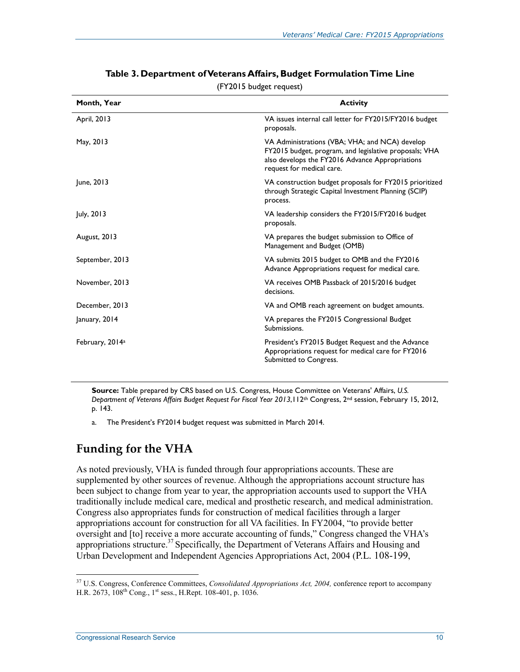| Month, Year                 | <b>Activity</b>                                                                                                                                                                          |
|-----------------------------|------------------------------------------------------------------------------------------------------------------------------------------------------------------------------------------|
| April, 2013                 | VA issues internal call letter for FY2015/FY2016 budget<br>proposals.                                                                                                                    |
| May, 2013                   | VA Administrations (VBA; VHA; and NCA) develop<br>FY2015 budget, program, and legislative proposals; VHA<br>also develops the FY2016 Advance Appropriations<br>request for medical care. |
| June, 2013                  | VA construction budget proposals for FY2015 prioritized<br>through Strategic Capital Investment Planning (SCIP)<br>process.                                                              |
| July, 2013                  | VA leadership considers the FY2015/FY2016 budget<br>proposals.                                                                                                                           |
| August, 2013                | VA prepares the budget submission to Office of<br>Management and Budget (OMB)                                                                                                            |
| September, 2013             | VA submits 2015 budget to OMB and the FY2016<br>Advance Appropriations request for medical care.                                                                                         |
| November, 2013              | VA receives OMB Passback of 2015/2016 budget<br>decisions.                                                                                                                               |
| December, 2013              | VA and OMB reach agreement on budget amounts.                                                                                                                                            |
| January, 2014               | VA prepares the FY2015 Congressional Budget<br>Submissions.                                                                                                                              |
| February, 2014 <sup>a</sup> | President's FY2015 Budget Request and the Advance<br>Appropriations request for medical care for FY2016<br>Submitted to Congress.                                                        |

#### **Table 3. Department of Veterans Affairs, Budget Formulation Time Line**

(FY2015 budget request)

**Source:** Table prepared by CRS based on U.S. Congress, House Committee on Veterans' Affairs, *U.S. Department of Veterans Affairs Budget Request For Fiscal Year 2013*,112th Congress, 2nd session, February 15, 2012, p. 143.

a. The President's FY2014 budget request was submitted in March 2014.

### **Funding for the VHA**

As noted previously, VHA is funded through four appropriations accounts. These are supplemented by other sources of revenue. Although the appropriations account structure has been subject to change from year to year, the appropriation accounts used to support the VHA traditionally include medical care, medical and prosthetic research, and medical administration. Congress also appropriates funds for construction of medical facilities through a larger appropriations account for construction for all VA facilities. In FY2004, "to provide better oversight and [to] receive a more accurate accounting of funds," Congress changed the VHA's appropriations structure.<sup>37</sup> Specifically, the Department of Veterans Affairs and Housing and Urban Development and Independent Agencies Appropriations Act, 2004 (P.L. 108-199,

<sup>1</sup> 37 U.S. Congress, Conference Committees, *Consolidated Appropriations Act, 2004,* conference report to accompany H.R. 2673, 108<sup>th</sup> Cong., 1<sup>st</sup> sess., H.Rept. 108-401, p. 1036.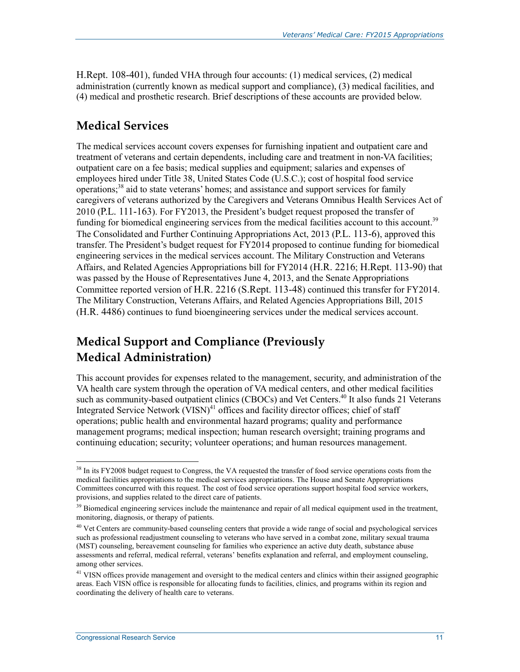H.Rept. 108-401), funded VHA through four accounts: (1) medical services, (2) medical administration (currently known as medical support and compliance), (3) medical facilities, and (4) medical and prosthetic research. Brief descriptions of these accounts are provided below.

#### **Medical Services**

The medical services account covers expenses for furnishing inpatient and outpatient care and treatment of veterans and certain dependents, including care and treatment in non-VA facilities; outpatient care on a fee basis; medical supplies and equipment; salaries and expenses of employees hired under Title 38, United States Code (U.S.C.); cost of hospital food service operations;<sup>38</sup> aid to state veterans' homes; and assistance and support services for family caregivers of veterans authorized by the Caregivers and Veterans Omnibus Health Services Act of 2010 (P.L. 111-163). For FY2013, the President's budget request proposed the transfer of funding for biomedical engineering services from the medical facilities account to this account.<sup>39</sup> The Consolidated and Further Continuing Appropriations Act, 2013 (P.L. 113-6), approved this transfer. The President's budget request for FY2014 proposed to continue funding for biomedical engineering services in the medical services account. The Military Construction and Veterans Affairs, and Related Agencies Appropriations bill for FY2014 (H.R. 2216; H.Rept. 113-90) that was passed by the House of Representatives June 4, 2013, and the Senate Appropriations Committee reported version of H.R. 2216 (S.Rept. 113-48) continued this transfer for FY2014. The Military Construction, Veterans Affairs, and Related Agencies Appropriations Bill, 2015 (H.R. 4486) continues to fund bioengineering services under the medical services account.

## **Medical Support and Compliance (Previously Medical Administration)**

This account provides for expenses related to the management, security, and administration of the VA health care system through the operation of VA medical centers, and other medical facilities such as community-based outpatient clinics (CBOCs) and Vet Centers.<sup>40</sup> It also funds 21 Veterans Integrated Service Network (VISN)<sup>41</sup> offices and facility director offices; chief of staff operations; public health and environmental hazard programs; quality and performance management programs; medical inspection; human research oversight; training programs and continuing education; security; volunteer operations; and human resources management.

<u>.</u>

 $38$  In its FY2008 budget request to Congress, the VA requested the transfer of food service operations costs from the medical facilities appropriations to the medical services appropriations. The House and Senate Appropriations Committees concurred with this request. The cost of food service operations support hospital food service workers, provisions, and supplies related to the direct care of patients.

<sup>&</sup>lt;sup>39</sup> Biomedical engineering services include the maintenance and repair of all medical equipment used in the treatment, monitoring, diagnosis, or therapy of patients.

<sup>&</sup>lt;sup>40</sup> Vet Centers are community-based counseling centers that provide a wide range of social and psychological services such as professional readjustment counseling to veterans who have served in a combat zone, military sexual trauma (MST) counseling, bereavement counseling for families who experience an active duty death, substance abuse assessments and referral, medical referral, veterans' benefits explanation and referral, and employment counseling, among other services.

<sup>&</sup>lt;sup>41</sup> VISN offices provide management and oversight to the medical centers and clinics within their assigned geographic areas. Each VISN office is responsible for allocating funds to facilities, clinics, and programs within its region and coordinating the delivery of health care to veterans.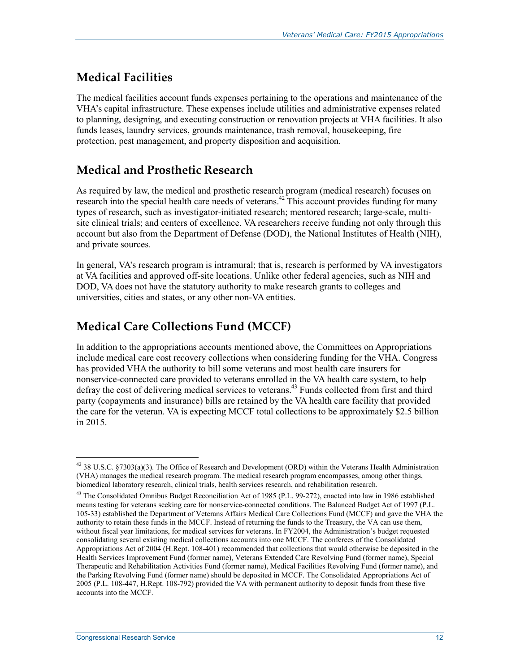### **Medical Facilities**

The medical facilities account funds expenses pertaining to the operations and maintenance of the VHA's capital infrastructure. These expenses include utilities and administrative expenses related to planning, designing, and executing construction or renovation projects at VHA facilities. It also funds leases, laundry services, grounds maintenance, trash removal, housekeeping, fire protection, pest management, and property disposition and acquisition.

### **Medical and Prosthetic Research**

As required by law, the medical and prosthetic research program (medical research) focuses on research into the special health care needs of veterans.<sup>42</sup> This account provides funding for many types of research, such as investigator-initiated research; mentored research; large-scale, multisite clinical trials; and centers of excellence. VA researchers receive funding not only through this account but also from the Department of Defense (DOD), the National Institutes of Health (NIH), and private sources.

In general, VA's research program is intramural; that is, research is performed by VA investigators at VA facilities and approved off-site locations. Unlike other federal agencies, such as NIH and DOD, VA does not have the statutory authority to make research grants to colleges and universities, cities and states, or any other non-VA entities.

## **Medical Care Collections Fund (MCCF)**

In addition to the appropriations accounts mentioned above, the Committees on Appropriations include medical care cost recovery collections when considering funding for the VHA. Congress has provided VHA the authority to bill some veterans and most health care insurers for nonservice-connected care provided to veterans enrolled in the VA health care system, to help defray the cost of delivering medical services to veterans.<sup>43</sup> Funds collected from first and third party (copayments and insurance) bills are retained by the VA health care facility that provided the care for the veteran. VA is expecting MCCF total collections to be approximately \$2.5 billion in 2015.

<sup>42 38</sup> U.S.C. §7303(a)(3). The Office of Research and Development (ORD) within the Veterans Health Administration (VHA) manages the medical research program. The medical research program encompasses, among other things, biomedical laboratory research, clinical trials, health services research, and rehabilitation research.

<sup>&</sup>lt;sup>43</sup> The Consolidated Omnibus Budget Reconciliation Act of 1985 (P.L. 99-272), enacted into law in 1986 established means testing for veterans seeking care for nonservice-connected conditions. The Balanced Budget Act of 1997 (P.L. 105-33) established the Department of Veterans Affairs Medical Care Collections Fund (MCCF) and gave the VHA the authority to retain these funds in the MCCF. Instead of returning the funds to the Treasury, the VA can use them, without fiscal year limitations, for medical services for veterans. In FY2004, the Administration's budget requested consolidating several existing medical collections accounts into one MCCF. The conferees of the Consolidated Appropriations Act of 2004 (H.Rept. 108-401) recommended that collections that would otherwise be deposited in the Health Services Improvement Fund (former name), Veterans Extended Care Revolving Fund (former name), Special Therapeutic and Rehabilitation Activities Fund (former name), Medical Facilities Revolving Fund (former name), and the Parking Revolving Fund (former name) should be deposited in MCCF. The Consolidated Appropriations Act of 2005 (P.L. 108-447, H.Rept. 108-792) provided the VA with permanent authority to deposit funds from these five accounts into the MCCF.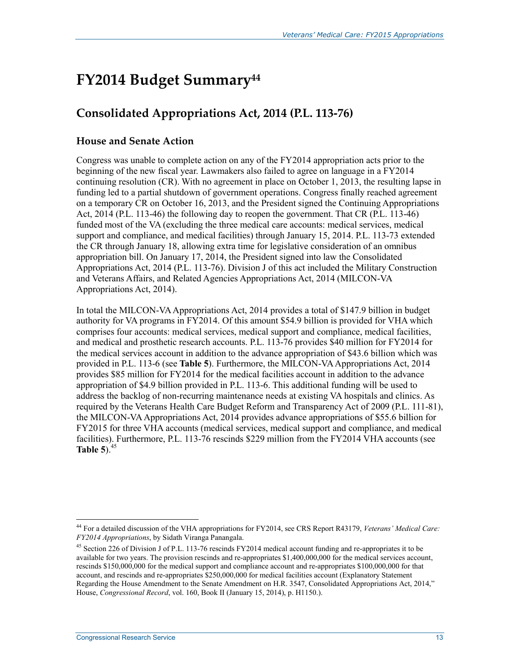# **FY2014 Budget Summary44**

## **Consolidated Appropriations Act, 2014 (P.L. 113-76)**

#### **House and Senate Action**

Congress was unable to complete action on any of the FY2014 appropriation acts prior to the beginning of the new fiscal year. Lawmakers also failed to agree on language in a FY2014 continuing resolution (CR). With no agreement in place on October 1, 2013, the resulting lapse in funding led to a partial shutdown of government operations. Congress finally reached agreement on a temporary CR on October 16, 2013, and the President signed the Continuing Appropriations Act, 2014 (P.L. 113-46) the following day to reopen the government. That CR (P.L. 113-46) funded most of the VA (excluding the three medical care accounts: medical services, medical support and compliance, and medical facilities) through January 15, 2014. P.L. 113-73 extended the CR through January 18, allowing extra time for legislative consideration of an omnibus appropriation bill. On January 17, 2014, the President signed into law the Consolidated Appropriations Act, 2014 (P.L. 113-76). Division J of this act included the Military Construction and Veterans Affairs, and Related Agencies Appropriations Act, 2014 (MILCON-VA Appropriations Act, 2014).

In total the MILCON-VA Appropriations Act, 2014 provides a total of \$147.9 billion in budget authority for VA programs in FY2014. Of this amount \$54.9 billion is provided for VHA which comprises four accounts: medical services, medical support and compliance, medical facilities, and medical and prosthetic research accounts. P.L. 113-76 provides \$40 million for FY2014 for the medical services account in addition to the advance appropriation of \$43.6 billion which was provided in P.L. 113-6 (see **Table 5**). Furthermore, the MILCON-VA Appropriations Act, 2014 provides \$85 million for FY2014 for the medical facilities account in addition to the advance appropriation of \$4.9 billion provided in P.L. 113-6. This additional funding will be used to address the backlog of non-recurring maintenance needs at existing VA hospitals and clinics. As required by the Veterans Health Care Budget Reform and Transparency Act of 2009 (P.L. 111-81), the MILCON-VA Appropriations Act, 2014 provides advance appropriations of \$55.6 billion for FY2015 for three VHA accounts (medical services, medical support and compliance, and medical facilities). Furthermore, P.L. 113-76 rescinds \$229 million from the FY2014 VHA accounts (see **Table 5**) $^{45}$ 

<sup>44</sup> For a detailed discussion of the VHA appropriations for FY2014, see CRS Report R43179, *Veterans' Medical Care: FY2014 Appropriations*, by Sidath Viranga Panangala.

<sup>&</sup>lt;sup>45</sup> Section 226 of Division J of P.L. 113-76 rescinds FY2014 medical account funding and re-appropriates it to be available for two years. The provision rescinds and re-appropriates \$1,400,000,000 for the medical services account, rescinds \$150,000,000 for the medical support and compliance account and re-appropriates \$100,000,000 for that account, and rescinds and re-appropriates \$250,000,000 for medical facilities account (Explanatory Statement Regarding the House Amendment to the Senate Amendment on H.R. 3547, Consolidated Appropriations Act, 2014," House, *Congressional Record*, vol. 160, Book II (January 15, 2014), p. H1150.).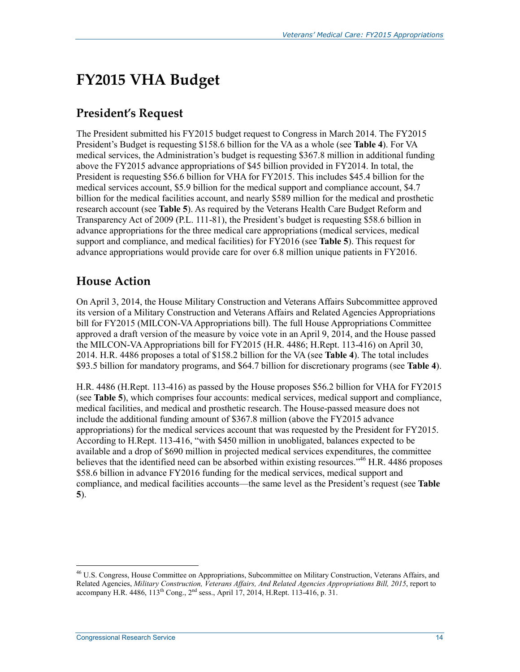# **FY2015 VHA Budget**

### **President's Request**

The President submitted his FY2015 budget request to Congress in March 2014. The FY2015 President's Budget is requesting \$158.6 billion for the VA as a whole (see **Table 4**). For VA medical services, the Administration's budget is requesting \$367.8 million in additional funding above the FY2015 advance appropriations of \$45 billion provided in FY2014. In total, the President is requesting \$56.6 billion for VHA for FY2015. This includes \$45.4 billion for the medical services account, \$5.9 billion for the medical support and compliance account, \$4.7 billion for the medical facilities account, and nearly \$589 million for the medical and prosthetic research account (see **Table 5**). As required by the Veterans Health Care Budget Reform and Transparency Act of 2009 (P.L. 111-81), the President's budget is requesting \$58.6 billion in advance appropriations for the three medical care appropriations (medical services, medical support and compliance, and medical facilities) for FY2016 (see **Table 5**). This request for advance appropriations would provide care for over 6.8 million unique patients in FY2016.

### **House Action**

On April 3, 2014, the House Military Construction and Veterans Affairs Subcommittee approved its version of a Military Construction and Veterans Affairs and Related Agencies Appropriations bill for FY2015 (MILCON-VA Appropriations bill). The full House Appropriations Committee approved a draft version of the measure by voice vote in an April 9, 2014, and the House passed the MILCON-VA Appropriations bill for FY2015 (H.R. 4486; H.Rept. 113-416) on April 30, 2014. H.R. 4486 proposes a total of \$158.2 billion for the VA (see **Table 4**). The total includes \$93.5 billion for mandatory programs, and \$64.7 billion for discretionary programs (see **Table 4**).

H.R. 4486 (H.Rept. 113-416) as passed by the House proposes \$56.2 billion for VHA for FY2015 (see **Table 5**), which comprises four accounts: medical services, medical support and compliance, medical facilities, and medical and prosthetic research. The House-passed measure does not include the additional funding amount of \$367.8 million (above the FY2015 advance appropriations) for the medical services account that was requested by the President for FY2015. According to H.Rept. 113-416, "with \$450 million in unobligated, balances expected to be available and a drop of \$690 million in projected medical services expenditures, the committee believes that the identified need can be absorbed within existing resources."<sup>46</sup> H.R. 4486 proposes \$58.6 billion in advance FY2016 funding for the medical services, medical support and compliance, and medical facilities accounts—the same level as the President's request (see **Table 5**).

<sup>&</sup>lt;sup>46</sup> U.S. Congress, House Committee on Appropriations, Subcommittee on Military Construction, Veterans Affairs, and Related Agencies, *Military Construction, Veterans Affairs, And Related Agencies Appropriations Bill, 2015*, report to accompany H.R. 4486,  $113^{th}$  Cong.,  $2^{nd}$  sess., April 17, 2014, H.Rept. 113-416, p. 31.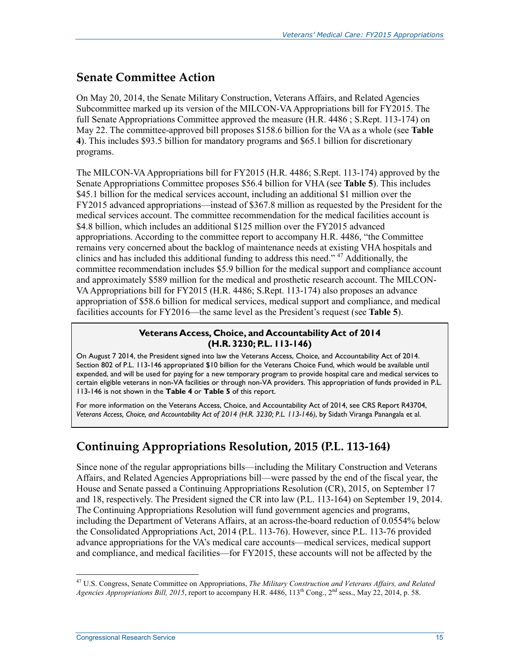#### **Senate Committee Action**

On May 20, 2014, the Senate Military Construction, Veterans Affairs, and Related Agencies Subcommittee marked up its version of the MILCON-VA Appropriations bill for FY2015. The full Senate Appropriations Committee approved the measure (H.R. 4486 ; S.Rept. 113-174) on May 22. The committee-approved bill proposes \$158.6 billion for the VA as a whole (see **Table 4**). This includes \$93.5 billion for mandatory programs and \$65.1 billion for discretionary programs.

The MILCON-VA Appropriations bill for FY2015 (H.R. 4486; S.Rept. 113-174) approved by the Senate Appropriations Committee proposes \$56.4 billion for VHA (see **Table 5**). This includes \$45.1 billion for the medical services account, including an additional \$1 million over the FY2015 advanced appropriations—instead of \$367.8 million as requested by the President for the medical services account. The committee recommendation for the medical facilities account is \$4.8 billion, which includes an additional \$125 million over the FY2015 advanced appropriations. According to the committee report to accompany H.R. 4486, "the Committee remains very concerned about the backlog of maintenance needs at existing VHA hospitals and clinics and has included this additional funding to address this need." 47 Additionally, the committee recommendation includes \$5.9 billion for the medical support and compliance account and approximately \$589 million for the medical and prosthetic research account. The MILCON-VA Appropriations bill for FY2015 (H.R. 4486; S.Rept. 113-174) also proposes an advance appropriation of \$58.6 billion for medical services, medical support and compliance, and medical facilities accounts for FY2016—the same level as the President's request (see **Table 5**).

#### **Veterans Access, Choice, and Accountability Act of 2014 (H.R. 3230; P.L. 113-146)**

On August 7 2014, the President signed into law the Veterans Access, Choice, and Accountability Act of 2014. Section 802 of P.L. 113-146 appropriated \$10 billion for the Veterans Choice Fund, which would be available until expended, and will be used for paying for a new temporary program to provide hospital care and medical services to certain eligible veterans in non-VA facilities or through non-VA providers. This appropriation of funds provided in P.L. 113-146 is not shown in the **Table 4** or **Table 5** of this report.

For more information on the Veterans Access, Choice, and Accountability Act of 2014, see CRS Report R43704, *Veterans Access, Choice, and Accountability Act of 2014 (H.R. 3230; P.L. 113-146)*, by Sidath Viranga Panangala et al.

### **Continuing Appropriations Resolution, 2015 (P.L. 113-164)**

Since none of the regular appropriations bills—including the Military Construction and Veterans Affairs, and Related Agencies Appropriations bill—were passed by the end of the fiscal year, the House and Senate passed a Continuing Appropriations Resolution (CR), 2015, on September 17 and 18, respectively. The President signed the CR into law (P.L. 113-164) on September 19, 2014. The Continuing Appropriations Resolution will fund government agencies and programs, including the Department of Veterans Affairs, at an across-the-board reduction of 0.0554% below the Consolidated Appropriations Act, 2014 (P.L. 113-76). However, since P.L. 113-76 provided advance appropriations for the VA's medical care accounts—medical services, medical support and compliance, and medical facilities—for FY2015, these accounts will not be affected by the

<sup>47</sup> U.S. Congress, Senate Committee on Appropriations, *The Military Construction and Veterans Affairs, and Related Agencies Appropriations Bill, 2015*, report to accompany H.R. 4486, 113<sup>th</sup> Cong., 2<sup>nd</sup> sess., May 22, 2014, p. 58.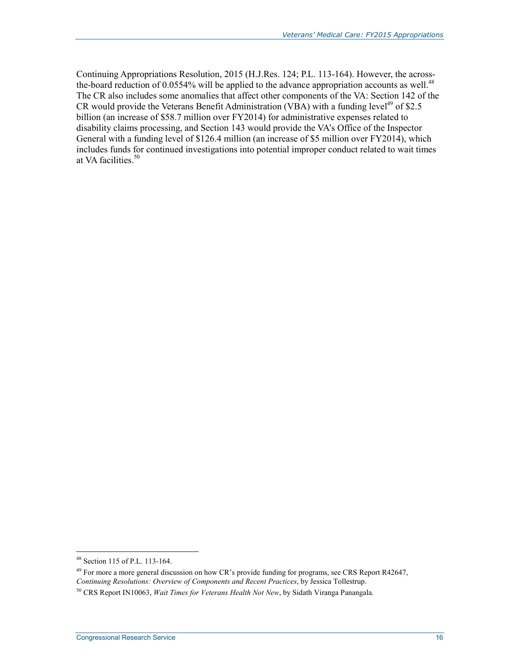Continuing Appropriations Resolution, 2015 (H.J.Res. 124; P.L. 113-164). However, the acrossthe-board reduction of  $0.0554\%$  will be applied to the advance appropriation accounts as well.<sup>48</sup> The CR also includes some anomalies that affect other components of the VA: Section 142 of the CR would provide the Veterans Benefit Administration (VBA) with a funding level<sup>49</sup> of \$2.5 billion (an increase of \$58.7 million over FY2014) for administrative expenses related to disability claims processing, and Section 143 would provide the VA's Office of the Inspector General with a funding level of \$126.4 million (an increase of \$5 million over FY2014), which includes funds for continued investigations into potential improper conduct related to wait times at VA facilities.<sup>50</sup>

<sup>48</sup> Section 115 of P.L. 113-164.

<sup>&</sup>lt;sup>49</sup> For more a more general discussion on how CR's provide funding for programs, see CRS Report R42647, *Continuing Resolutions: Overview of Components and Recent Practices*, by Jessica Tollestrup.

<sup>50</sup> CRS Report IN10063, *Wait Times for Veterans Health Not New*, by Sidath Viranga Panangala.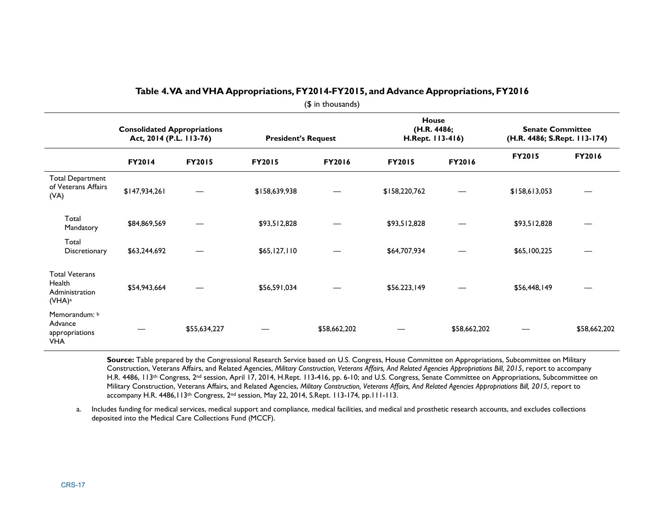|                                                                         | <b>Consolidated Appropriations</b><br>Act, 2014 (P.L. 113-76) |               | <b>President's Request</b> |               | <b>House</b><br>(H.R. 4486;<br>H.Rept. 113-416) |               | <b>Senate Committee</b><br>(H.R. 4486; S.Rept. 113-174) |               |
|-------------------------------------------------------------------------|---------------------------------------------------------------|---------------|----------------------------|---------------|-------------------------------------------------|---------------|---------------------------------------------------------|---------------|
|                                                                         | <b>FY2014</b>                                                 | <b>FY2015</b> | <b>FY2015</b>              | <b>FY2016</b> | <b>FY2015</b>                                   | <b>FY2016</b> | <b>FY2015</b>                                           | <b>FY2016</b> |
| <b>Total Department</b><br>of Veterans Affairs<br>(VA)                  | \$147,934,261                                                 |               | \$158,639,938              |               | \$158,220,762                                   |               | \$158,613,053                                           |               |
| Total<br>Mandatory                                                      | \$84,869,569                                                  |               | \$93,512,828               |               | \$93,512,828                                    |               | \$93,512,828                                            |               |
| Total<br>Discretionary                                                  | \$63,244,692                                                  |               | \$65,127,110               |               | \$64,707,934                                    |               | \$65,100,225                                            |               |
| <b>Total Veterans</b><br>Health<br>Administration<br>(VHA) <sup>a</sup> | \$54,943,664                                                  |               | \$56,591,034               |               | \$56.223,149                                    |               | \$56,448,149                                            |               |
| Memorandum: b<br>Advance<br>appropriations<br><b>VHA</b>                |                                                               | \$55,634,227  |                            | \$58,662,202  |                                                 | \$58,662,202  |                                                         | \$58,662,202  |

#### **Table 4. VA and VHA Appropriations, FY2014-FY2015, and Advance Appropriations, FY2016**

(\$ in thousands)

**Source:** Table prepared by the Congressional Research Service based on U.S. Congress, House Committee on Appropriations, Subcommittee on Military Construction, Veterans Affairs, and Related Agencies, *Military Construction, Veterans Affairs, And Related Agencies Appropriations Bill, 2015*, report to accompany H.R. 4486, 113<sup>th</sup> Congress, 2<sup>nd</sup> session, April 17, 2014, H.Rept. 113-416, pp. 6-10; and U.S. Congress, Senate Committee on Appropriations, Subcommittee on Military Construction, Veterans Affairs, and Related Agencies, *Military Construction, Veterans Affairs, And Related Agencies Appropriations Bill, 2015*, report to accompany H.R. 4486,113th Congress, 2nd session, May 22, 2014, S.Rept. 113-174, pp.111-113.

a. Includes funding for medical services, medical support and compliance, medical facilities, and medical and prosthetic research accounts, and excludes collections deposited into the Medical Care Collections Fund (MCCF).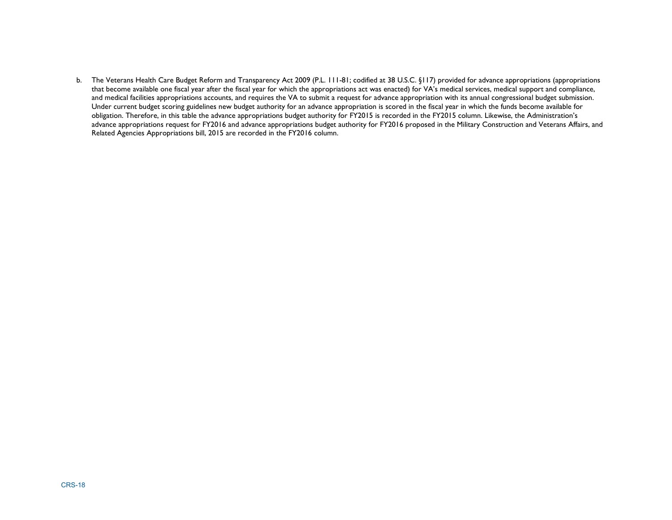b. The Veterans Health Care Budget Reform and Transparency Act 2009 (P.L. 111-81; codified at 38 U.S.C. §117) provided for advance appropriations (appropriations that become available one fiscal year after the fiscal year for which the appropriations act was enacted) for VA's medical services, medical support and compliance, and medical facilities appropriations accounts, and requires the VA to submit a request for advance appropriation with its annual congressional budget submission. Under current budget scoring guidelines new budget authority for an advance appropriation is scored in the fiscal year in which the funds become available for obligation. Therefore, in this table the advance appropriations budget authority for FY2015 is recorded in the FY2015 column. Likewise, the Administration's advance appropriations request for FY2016 and advance appropriations budget authority for FY2016 proposed in the Military Construction and Veterans Affairs, and Related Agencies Appropriations bill, 2015 are recorded in the FY2016 column.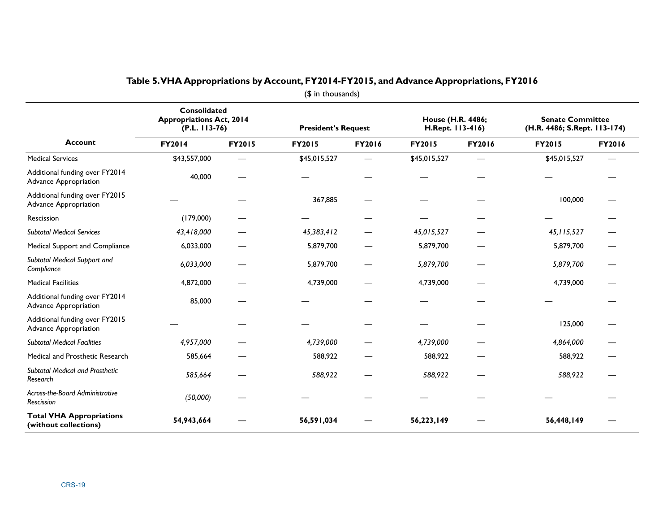|                                                                | Consolidated<br><b>Appropriations Act, 2014</b><br>$(P.L. 113-76)$ |                          | <b>President's Request</b> |        | House (H.R. 4486;<br>H.Rept. 113-416) |        | <b>Senate Committee</b><br>(H.R. 4486; S.Rept. 113-174) |        |
|----------------------------------------------------------------|--------------------------------------------------------------------|--------------------------|----------------------------|--------|---------------------------------------|--------|---------------------------------------------------------|--------|
| <b>Account</b>                                                 | FY2014                                                             | FY2015                   | FY2015                     | FY2016 | <b>FY2015</b>                         | FY2016 | <b>FY2015</b>                                           | FY2016 |
| <b>Medical Services</b>                                        | \$43,557,000                                                       | —                        | \$45,015,527               |        | \$45,015,527                          |        | \$45,015,527                                            |        |
| Additional funding over FY2014<br><b>Advance Appropriation</b> | 40,000                                                             |                          |                            |        |                                       |        |                                                         |        |
| Additional funding over FY2015<br>Advance Appropriation        |                                                                    |                          | 367,885                    |        |                                       |        | 100,000                                                 |        |
| Rescission                                                     | (179,000)                                                          |                          |                            |        |                                       |        |                                                         |        |
| <b>Subtotal Medical Services</b>                               | 43,418,000                                                         |                          | 45,383,412                 |        | 45,015,527                            |        | 45, 115, 527                                            |        |
| Medical Support and Compliance                                 | 6,033,000                                                          |                          | 5,879,700                  |        | 5,879,700                             |        | 5,879,700                                               |        |
| Subtotal Medical Support and<br>Compliance                     | 6,033,000                                                          |                          | 5,879,700                  |        | 5,879,700                             |        | 5,879,700                                               |        |
| <b>Medical Facilities</b>                                      | 4,872,000                                                          |                          | 4,739,000                  |        | 4,739,000                             |        | 4,739,000                                               |        |
| Additional funding over FY2014<br>Advance Appropriation        | 85,000                                                             |                          |                            |        |                                       |        |                                                         |        |
| Additional funding over FY2015<br>Advance Appropriation        |                                                                    |                          |                            |        |                                       |        | 125,000                                                 |        |
| <b>Subtotal Medical Facilities</b>                             | 4,957,000                                                          |                          | 4,739,000                  |        | 4,739,000                             |        | 4,864,000                                               |        |
| Medical and Prosthetic Research                                | 585,664                                                            |                          | 588,922                    |        | 588,922                               |        | 588,922                                                 |        |
| Subtotal Medical and Prosthetic<br>Research                    | 585,664                                                            | $\overline{\phantom{0}}$ | 588,922                    |        | 588,922                               |        | 588,922                                                 |        |
| Across-the-Board Administrative<br>Rescission                  | (50,000)                                                           |                          |                            |        |                                       |        |                                                         |        |
| <b>Total VHA Appropriations</b><br>(without collections)       | 54,943,664                                                         |                          | 56,591,034                 |        | 56,223,149                            |        | 56,448,149                                              |        |

#### **Table 5. VHA Appropriations by Account, FY2014-FY2015, and Advance Appropriations, FY2016**

(\$ in thousands)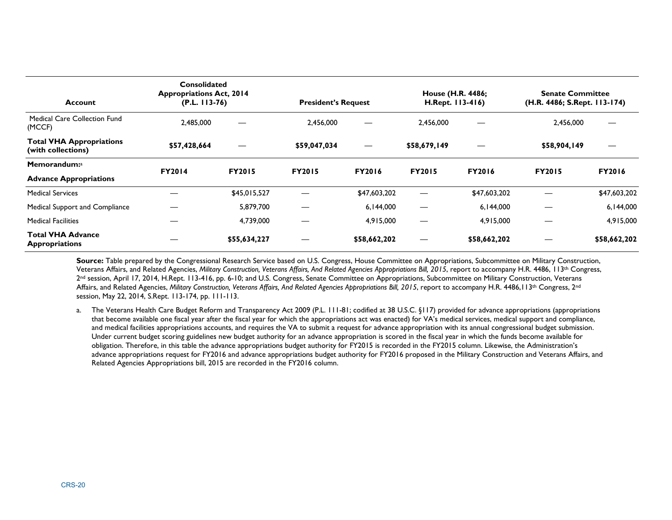| <b>Account</b>                                        | <b>Consolidated</b><br><b>Appropriations Act, 2014</b><br>$(P.L. 113-76)$ |               | <b>President's Request</b> |                   | House (H.R. 4486;<br>H.Rept. 113-416) |               | <b>Senate Committee</b><br>(H.R. 4486; S.Rept. 113-174) |               |
|-------------------------------------------------------|---------------------------------------------------------------------------|---------------|----------------------------|-------------------|---------------------------------------|---------------|---------------------------------------------------------|---------------|
| <b>Medical Care Collection Fund</b><br>(MCCF)         | 2,485,000                                                                 |               | 2,456,000                  |                   | 2.456.000                             |               | 2,456,000                                               |               |
| <b>Total VHA Appropriations</b><br>(with collections) | \$57,428,664                                                              | —             | \$59,047,034               | $\hspace{0.05cm}$ | \$58,679,149                          | —             | \$58,904,149                                            | —             |
| Memorandum: <sup>a</sup>                              | <b>FY2014</b>                                                             | <b>FY2015</b> | <b>FY2015</b>              | <b>FY2016</b>     | <b>FY2015</b>                         | <b>FY2016</b> | <b>FY2015</b>                                           | <b>FY2016</b> |
| <b>Advance Appropriations</b>                         |                                                                           |               |                            |                   |                                       |               |                                                         |               |
| <b>Medical Services</b>                               |                                                                           | \$45,015,527  |                            | \$47,603,202      |                                       | \$47,603,202  |                                                         | \$47,603,202  |
| Medical Support and Compliance                        |                                                                           | 5,879,700     |                            | 6,144,000         |                                       | 6,144,000     |                                                         | 6,144,000     |
| <b>Medical Facilities</b>                             |                                                                           | 4,739,000     |                            | 4,915,000         |                                       | 4,915,000     |                                                         | 4,915,000     |
| <b>Total VHA Advance</b><br><b>Appropriations</b>     |                                                                           | \$55,634,227  |                            | \$58,662,202      | —                                     | \$58,662,202  |                                                         | \$58,662,202  |

**Source:** Table prepared by the Congressional Research Service based on U.S. Congress, House Committee on Appropriations, Subcommittee on Military Construction, Veterans Affairs, and Related Agencies, *Military Construction, Veterans Affairs, And Related Agencies Appropriations Bill, 2015*, report to accompany H.R. 4486, 113th Congress, 2nd session, April 17, 2014, H.Rept. 113-416, pp. 6-10; and U.S. Congress, Senate Committee on Appropriations, Subcommittee on Military Construction, Veterans Affairs, and Related Agencies, *Military Construction, Veterans Affairs, And Related Agencies Appropriations Bill, 2015*, report to accompany H.R. 4486,113<sup>th</sup> Congress, 2<sup>nd</sup> session, May 22, 2014, S.Rept. 113-174, pp. 111-113.

a. The Veterans Health Care Budget Reform and Transparency Act 2009 (P.L. 111-81; codified at 38 U.S.C. §117) provided for advance appropriations (appropriations that become available one fiscal year after the fiscal year for which the appropriations act was enacted) for VA's medical services, medical support and compliance, and medical facilities appropriations accounts, and requires the VA to submit a request for advance appropriation with its annual congressional budget submission. Under current budget scoring guidelines new budget authority for an advance appropriation is scored in the fiscal year in which the funds become available for obligation. Therefore, in this table the advance appropriations budget authority for FY2015 is recorded in the FY2015 column. Likewise, the Administration's advance appropriations request for FY2016 and advance appropriations budget authority for FY2016 proposed in the Military Construction and Veterans Affairs, and Related Agencies Appropriations bill, 2015 are recorded in the FY2016 column.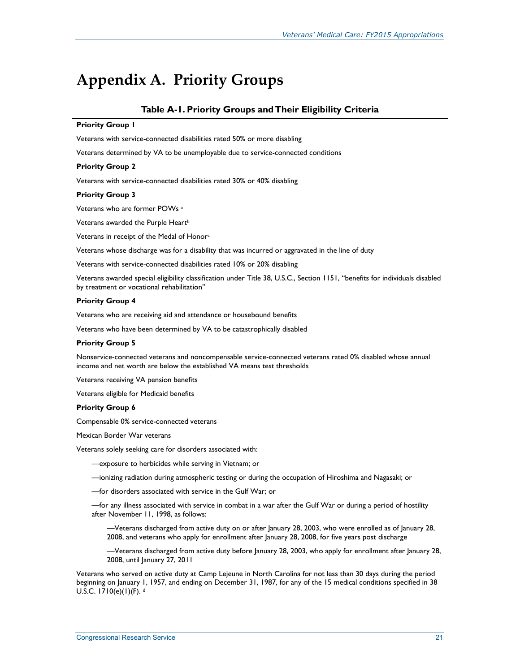## **Appendix A. Priority Groups**

#### **Table A-1. Priority Groups and Their Eligibility Criteria**

#### **Priority Group 1**

Veterans with service-connected disabilities rated 50% or more disabling

Veterans determined by VA to be unemployable due to service-connected conditions

#### **Priority Group 2**

Veterans with service-connected disabilities rated 30% or 40% disabling

#### **Priority Group 3**

Veterans who are former POWs a

Veterans awarded the Purple Heart<sup>b</sup>

Veterans in receipt of the Medal of Honor<sup>c</sup>

Veterans whose discharge was for a disability that was incurred or aggravated in the line of duty

Veterans with service-connected disabilities rated 10% or 20% disabling

Veterans awarded special eligibility classification under Title 38, U.S.C., Section 1151, "benefits for individuals disabled by treatment or vocational rehabilitation"

#### **Priority Group 4**

Veterans who are receiving aid and attendance or housebound benefits

Veterans who have been determined by VA to be catastrophically disabled

#### **Priority Group 5**

Nonservice-connected veterans and noncompensable service-connected veterans rated 0% disabled whose annual income and net worth are below the established VA means test thresholds

Veterans receiving VA pension benefits

Veterans eligible for Medicaid benefits

#### **Priority Group 6**

Compensable 0% service-connected veterans

Mexican Border War veterans

Veterans solely seeking care for disorders associated with:

—exposure to herbicides while serving in Vietnam; or

—ionizing radiation during atmospheric testing or during the occupation of Hiroshima and Nagasaki; or

—for disorders associated with service in the Gulf War; or

—for any illness associated with service in combat in a war after the Gulf War or during a period of hostility after November 11, 1998, as follows:

—Veterans discharged from active duty on or after January 28, 2003, who were enrolled as of January 28, 2008, and veterans who apply for enrollment after January 28, 2008, for five years post discharge

—Veterans discharged from active duty before January 28, 2003, who apply for enrollment after January 28, 2008, until January 27, 2011

Veterans who served on active duty at Camp Lejeune in North Carolina for not less than 30 days during the period beginning on January 1, 1957, and ending on December 31, 1987, for any of the 15 medical conditions specified in 38 U.S.C.  $1710(e)(1)(F)$ . d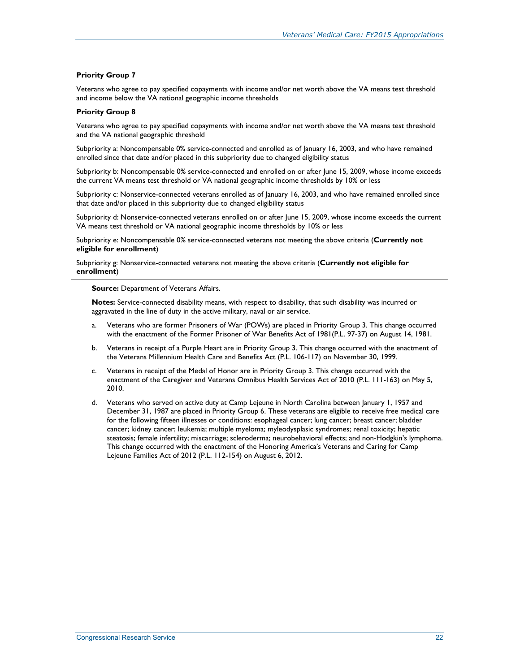#### **Priority Group 7**

Veterans who agree to pay specified copayments with income and/or net worth above the VA means test threshold and income below the VA national geographic income thresholds

#### **Priority Group 8**

Veterans who agree to pay specified copayments with income and/or net worth above the VA means test threshold and the VA national geographic threshold

Subpriority a: Noncompensable 0% service-connected and enrolled as of January 16, 2003, and who have remained enrolled since that date and/or placed in this subpriority due to changed eligibility status

Subpriority b: Noncompensable 0% service-connected and enrolled on or after June 15, 2009, whose income exceeds the current VA means test threshold or VA national geographic income thresholds by 10% or less

Subpriority c: Nonservice-connected veterans enrolled as of January 16, 2003, and who have remained enrolled since that date and/or placed in this subpriority due to changed eligibility status

Subpriority d: Nonservice-connected veterans enrolled on or after June 15, 2009, whose income exceeds the current VA means test threshold or VA national geographic income thresholds by 10% or less

Subpriority e: Noncompensable 0% service-connected veterans not meeting the above criteria (**Currently not eligible for enrollment**)

Subpriority g: Nonservice-connected veterans not meeting the above criteria (**Currently not eligible for enrollment**)

**Source:** Department of Veterans Affairs.

**Notes:** Service-connected disability means, with respect to disability, that such disability was incurred or aggravated in the line of duty in the active military, naval or air service.

- a. Veterans who are former Prisoners of War (POWs) are placed in Priority Group 3. This change occurred with the enactment of the Former Prisoner of War Benefits Act of 1981(P.L. 97-37) on August 14, 1981.
- b. Veterans in receipt of a Purple Heart are in Priority Group 3. This change occurred with the enactment of the Veterans Millennium Health Care and Benefits Act (P.L. 106-117) on November 30, 1999.
- c. Veterans in receipt of the Medal of Honor are in Priority Group 3. This change occurred with the enactment of the Caregiver and Veterans Omnibus Health Services Act of 2010 (P.L. 111-163) on May 5, 2010.
- d. Veterans who served on active duty at Camp Lejeune in North Carolina between January 1, 1957 and December 31, 1987 are placed in Priority Group 6. These veterans are eligible to receive free medical care for the following fifteen illnesses or conditions: esophageal cancer; lung cancer; breast cancer; bladder cancer; kidney cancer; leukemia; multiple myeloma; myleodysplasic syndromes; renal toxicity; hepatic steatosis; female infertility; miscarriage; scleroderma; neurobehavioral effects; and non-Hodgkin's lymphoma. This change occurred with the enactment of the Honoring America's Veterans and Caring for Camp Lejeune Families Act of 2012 (P.L. 112-154) on August 6, 2012.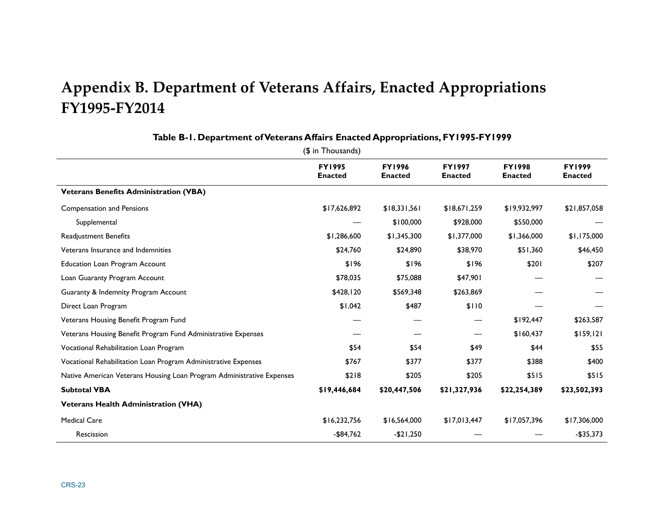## **Appendix B. Department of Veterans Affairs, Enacted Appropriations FY1995-FY2014**

|                                                                       | <b>FY1995</b><br><b>Enacted</b> | <b>FY1996</b><br><b>Enacted</b> | <b>FY1997</b><br><b>Enacted</b> | <b>FY1998</b><br><b>Enacted</b> | <b>FY1999</b><br><b>Enacted</b> |
|-----------------------------------------------------------------------|---------------------------------|---------------------------------|---------------------------------|---------------------------------|---------------------------------|
| <b>Veterans Benefits Administration (VBA)</b>                         |                                 |                                 |                                 |                                 |                                 |
| <b>Compensation and Pensions</b>                                      | \$17,626,892                    | \$18,331,561                    | \$18,671,259                    | \$19,932,997                    | \$21,857,058                    |
| Supplemental                                                          |                                 | \$100,000                       | \$928,000                       | \$550,000                       |                                 |
| Readjustment Benefits                                                 | \$1,286,600                     | \$1,345,300                     | \$1,377,000                     | \$1,366,000                     | \$1,175,000                     |
| Veterans Insurance and Indemnities                                    | \$24,760                        | \$24,890                        | \$38,970                        | \$51,360                        | \$46,450                        |
| <b>Education Loan Program Account</b>                                 | \$196                           | \$196                           | \$196                           | \$201                           | \$207                           |
| Loan Guaranty Program Account                                         | \$78,035                        | \$75,088                        | \$47,901                        |                                 |                                 |
| Guaranty & Indemnity Program Account                                  | \$428,120                       | \$569,348                       | \$263,869                       |                                 |                                 |
| Direct Loan Program                                                   | \$1,042                         | \$487                           | \$110                           |                                 |                                 |
| Veterans Housing Benefit Program Fund                                 |                                 |                                 |                                 | \$192,447                       | \$263,587                       |
| Veterans Housing Benefit Program Fund Administrative Expenses         |                                 |                                 |                                 | \$160,437                       | \$159,121                       |
| Vocational Rehabilitation Loan Program                                | \$54                            | \$54                            | \$49                            | \$44                            | \$55                            |
| Vocational Rehabilitation Loan Program Administrative Expenses        | \$767                           | \$377                           | \$377                           | \$388                           | \$400                           |
| Native American Veterans Housing Loan Program Administrative Expenses | \$218                           | \$205                           | \$205                           | \$515                           | \$515                           |
| <b>Subtotal VBA</b>                                                   | \$19,446,684                    | \$20,447,506                    | \$21,327,936                    | \$22,254,389                    | \$23,502,393                    |
| <b>Veterans Health Administration (VHA)</b>                           |                                 |                                 |                                 |                                 |                                 |
| <b>Medical Care</b>                                                   | \$16,232,756                    | \$16,564,000                    | \$17,013,447                    | \$17,057,396                    | \$17,306,000                    |
| Rescission                                                            | $-$84,762$                      | $-$21,250$                      |                                 |                                 | $-$35,373$                      |

#### **Table B-1. Department of Veterans Affairs Enacted Appropriations, FY1995-FY1999**

(\$ in Thousands)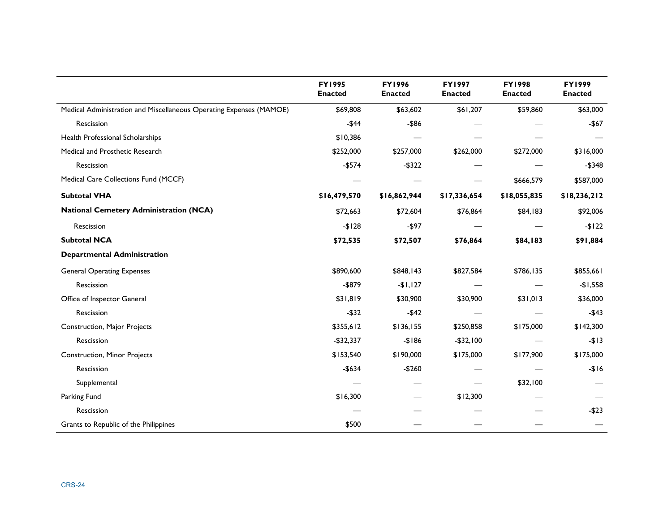|                                                                     | <b>FY1995</b><br><b>Enacted</b> | <b>FY1996</b><br><b>Enacted</b> | <b>FY1997</b><br><b>Enacted</b> | <b>FY1998</b><br><b>Enacted</b> | <b>FY1999</b><br><b>Enacted</b> |
|---------------------------------------------------------------------|---------------------------------|---------------------------------|---------------------------------|---------------------------------|---------------------------------|
| Medical Administration and Miscellaneous Operating Expenses (MAMOE) | \$69,808                        | \$63,602                        | \$61,207                        | \$59,860                        | \$63,000                        |
| Rescission                                                          | $-$ \$44                        | $-$ \$86                        |                                 |                                 | $-$ \$67                        |
| Health Professional Scholarships                                    | \$10,386                        |                                 |                                 |                                 |                                 |
| Medical and Prosthetic Research                                     | \$252,000                       | \$257,000                       | \$262,000                       | \$272,000                       | \$316,000                       |
| Rescission                                                          | $-$574$                         | $-$322$                         |                                 |                                 | $-$348$                         |
| Medical Care Collections Fund (MCCF)                                |                                 |                                 |                                 | \$666,579                       | \$587,000                       |
| <b>Subtotal VHA</b>                                                 | \$16,479,570                    | \$16,862,944                    | \$17,336,654                    | \$18,055,835                    | \$18,236,212                    |
| <b>National Cemetery Administration (NCA)</b>                       | \$72,663                        | \$72,604                        | \$76,864                        | \$84,183                        | \$92,006                        |
| Rescission                                                          | $-$128$                         | $-$ \$97                        |                                 |                                 | $-$122$                         |
| <b>Subtotal NCA</b>                                                 | \$72,535                        | \$72,507                        | \$76,864                        | <b>\$84,183</b>                 | \$91,884                        |
| <b>Departmental Administration</b>                                  |                                 |                                 |                                 |                                 |                                 |
| <b>General Operating Expenses</b>                                   | \$890,600                       | \$848,143                       | \$827,584                       | \$786,135                       | \$855,661                       |
| Rescission                                                          | $-$ \$879                       | $-$1,127$                       |                                 |                                 | $-$1,558$                       |
| Office of Inspector General                                         | \$31,819                        | \$30,900                        | \$30,900                        | \$31,013                        | \$36,000                        |
| Rescission                                                          | $-$ \$32                        | $-$ \$42                        |                                 |                                 | $-$ \$43                        |
| Construction, Major Projects                                        | \$355,612                       | \$136,155                       | \$250,858                       | \$175,000                       | \$142,300                       |
| Rescission                                                          | $-$32,337$                      | $-$186$                         | $- $32,100$                     |                                 | $-$13$                          |
| <b>Construction, Minor Projects</b>                                 | \$153,540                       | \$190,000                       | \$175,000                       | \$177,900                       | \$175,000                       |
| Rescission                                                          | $-$ \$634                       | $-$260$                         |                                 |                                 | $-$16$                          |
| Supplemental                                                        |                                 |                                 |                                 | \$32,100                        |                                 |
| Parking Fund                                                        | \$16,300                        |                                 | \$12,300                        |                                 |                                 |
| Rescission                                                          |                                 |                                 |                                 |                                 | $-$ \$23                        |
| Grants to Republic of the Philippines                               | \$500                           |                                 |                                 |                                 |                                 |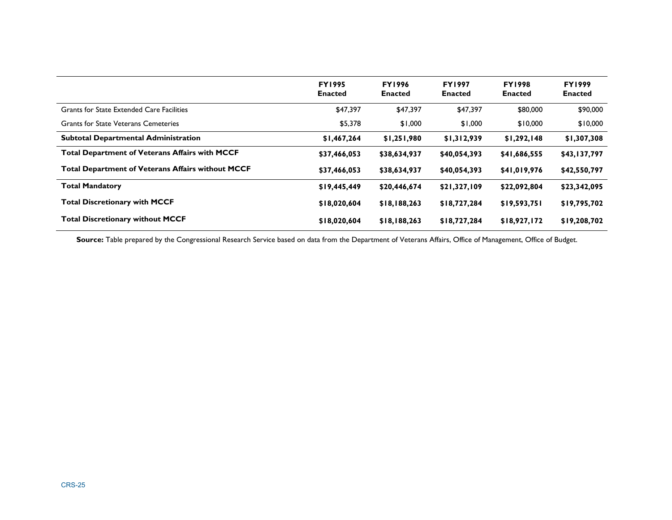|                                                          | <b>FY1995</b><br><b>Enacted</b> | <b>FY1996</b><br><b>Enacted</b> | <b>FY1997</b><br><b>Enacted</b> | <b>FY1998</b><br><b>Enacted</b> | <b>FY1999</b><br><b>Enacted</b> |
|----------------------------------------------------------|---------------------------------|---------------------------------|---------------------------------|---------------------------------|---------------------------------|
| Grants for State Extended Care Facilities                | \$47,397                        | \$47,397                        | \$47,397                        | \$80,000                        | \$90,000                        |
| Grants for State Veterans Cemeteries                     | \$5,378                         | \$1,000                         | \$1,000                         | \$10,000                        | \$10,000                        |
| <b>Subtotal Departmental Administration</b>              | \$1,467,264                     | \$1,251,980                     | \$1,312,939                     | \$1,292,148                     | \$1,307,308                     |
| <b>Total Department of Veterans Affairs with MCCF</b>    | \$37,466,053                    | \$38,634,937                    | \$40,054,393                    | \$41,686,555                    | \$43,137,797                    |
| <b>Total Department of Veterans Affairs without MCCF</b> | \$37,466,053                    | \$38,634,937                    | \$40,054,393                    | \$41,019,976                    | \$42,550,797                    |
| <b>Total Mandatory</b>                                   | \$19,445,449                    | \$20,446,674                    | \$21,327,109                    | \$22,092,804                    | \$23,342,095                    |
| <b>Total Discretionary with MCCF</b>                     | \$18,020,604                    | \$18,188,263                    | \$18,727,284                    | \$19,593,751                    | \$19,795,702                    |
| <b>Total Discretionary without MCCF</b>                  | \$18,020,604                    | \$18,188,263                    | \$18,727,284                    | \$18,927,172                    | \$19,208,702                    |

Source: Table prepared by the Congressional Research Service based on data from the Department of Veterans Affairs, Office of Management, Office of Budget.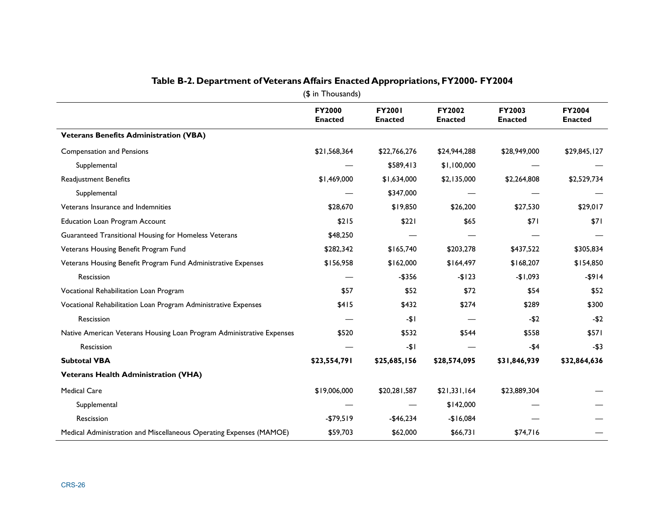| $$$ in Thousands)                                                     |                                 |                                 |                                 |                                 |                                 |  |  |
|-----------------------------------------------------------------------|---------------------------------|---------------------------------|---------------------------------|---------------------------------|---------------------------------|--|--|
|                                                                       | <b>FY2000</b><br><b>Enacted</b> | <b>FY2001</b><br><b>Enacted</b> | <b>FY2002</b><br><b>Enacted</b> | <b>FY2003</b><br><b>Enacted</b> | <b>FY2004</b><br><b>Enacted</b> |  |  |
| <b>Veterans Benefits Administration (VBA)</b>                         |                                 |                                 |                                 |                                 |                                 |  |  |
| <b>Compensation and Pensions</b>                                      | \$21,568,364                    | \$22,766,276                    | \$24,944,288                    | \$28,949,000                    | \$29,845,127                    |  |  |
| Supplemental                                                          |                                 | \$589,413                       | \$1,100,000                     |                                 |                                 |  |  |
| Readjustment Benefits                                                 | \$1,469,000                     | \$1,634,000                     | \$2,135,000                     | \$2,264,808                     | \$2,529,734                     |  |  |
| Supplemental                                                          |                                 | \$347,000                       |                                 |                                 |                                 |  |  |
| Veterans Insurance and Indemnities                                    | \$28,670                        | \$19,850                        | \$26,200                        | \$27,530                        | \$29,017                        |  |  |
| <b>Education Loan Program Account</b>                                 | \$215                           | \$221                           | \$65                            | \$71                            | \$71                            |  |  |
| Guaranteed Transitional Housing for Homeless Veterans                 | \$48,250                        |                                 |                                 |                                 |                                 |  |  |
| Veterans Housing Benefit Program Fund                                 | \$282,342                       | \$165,740                       | \$203,278                       | \$437,522                       | \$305,834                       |  |  |
| Veterans Housing Benefit Program Fund Administrative Expenses         | \$156,958                       | \$162,000                       | \$164,497                       | \$168,207                       | \$154,850                       |  |  |
| Rescission                                                            |                                 | $-$356$                         | $-$123$                         | $-$1,093$                       | $-$ \$914                       |  |  |
| Vocational Rehabilitation Loan Program                                | \$57                            | \$52                            | \$72                            | \$54                            | \$52                            |  |  |
| Vocational Rehabilitation Loan Program Administrative Expenses        | \$415                           | \$432                           | \$274                           | \$289                           | \$300                           |  |  |
| Rescission                                                            |                                 | -\$1                            |                                 | $-52$                           | $-52$                           |  |  |
| Native American Veterans Housing Loan Program Administrative Expenses | \$520                           | \$532                           | \$544                           | \$558                           | \$571                           |  |  |
| Rescission                                                            |                                 | $-51$                           |                                 | -\$4                            | $-53$                           |  |  |
| <b>Subtotal VBA</b>                                                   | \$23,554,791                    | \$25,685,156                    | \$28,574,095                    | \$31,846,939                    | \$32,864,636                    |  |  |
| <b>Veterans Health Administration (VHA)</b>                           |                                 |                                 |                                 |                                 |                                 |  |  |
| <b>Medical Care</b>                                                   | \$19,006,000                    | \$20,281,587                    | \$21,331,164                    | \$23,889,304                    |                                 |  |  |
| Supplemental                                                          |                                 |                                 | \$142,000                       |                                 |                                 |  |  |
| Rescission                                                            | $-$79,519$                      | $-$46,234$                      | $-$16,084$                      |                                 |                                 |  |  |
| Medical Administration and Miscellaneous Operating Expenses (MAMOE)   | \$59,703                        | \$62,000                        | \$66,731                        | \$74,716                        |                                 |  |  |

## **Table B-2. Department of Veterans Affairs Enacted Appropriations, FY2000- FY2004**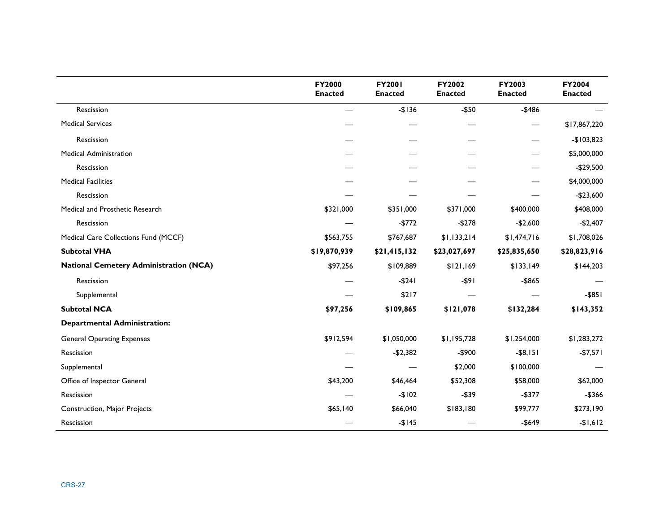|                                               | FY2000<br><b>Enacted</b> | <b>FY2001</b><br><b>Enacted</b> | FY2002<br><b>Enacted</b> | FY2003<br><b>Enacted</b> | FY2004<br><b>Enacted</b> |
|-----------------------------------------------|--------------------------|---------------------------------|--------------------------|--------------------------|--------------------------|
| Rescission                                    |                          | $-$136$                         | $-$50$                   | $-$486$                  |                          |
| <b>Medical Services</b>                       |                          |                                 |                          |                          | \$17,867,220             |
| Rescission                                    |                          |                                 |                          |                          | $-$103,823$              |
| <b>Medical Administration</b>                 |                          |                                 |                          |                          | \$5,000,000              |
| Rescission                                    |                          |                                 |                          |                          | $-$29,500$               |
| <b>Medical Facilities</b>                     |                          |                                 |                          |                          | \$4,000,000              |
| Rescission                                    |                          |                                 |                          |                          | $-$23,600$               |
| Medical and Prosthetic Research               | \$321,000                | \$351,000                       | \$371,000                | \$400,000                | \$408,000                |
| Rescission                                    |                          | $-$772$                         | $-$278$                  | $-$2,600$                | $-$2,407$                |
| Medical Care Collections Fund (MCCF)          | \$563,755                | \$767,687                       | \$1,133,214              | \$1,474,716              | \$1,708,026              |
| <b>Subtotal VHA</b>                           | \$19,870,939             | \$21,415,132                    | \$23,027,697             | \$25,835,650             | \$28,823,916             |
| <b>National Cemetery Administration (NCA)</b> | \$97,256                 | \$109,889                       | \$121,169                | \$133,149                | \$144,203                |
| Rescission                                    |                          | $-$ \$241                       | -\$91                    | -\$865                   |                          |
| Supplemental                                  |                          | \$217                           |                          |                          | $-$ \$851                |
| <b>Subtotal NCA</b>                           | \$97,256                 | \$109,865                       | \$121,078                | \$132,284                | \$143,352                |
| <b>Departmental Administration:</b>           |                          |                                 |                          |                          |                          |
| <b>General Operating Expenses</b>             | \$912,594                | \$1,050,000                     | \$1,195,728              | \$1,254,000              | \$1,283,272              |
| Rescission                                    |                          | $-$2,382$                       | $-$900$                  | $-$ \$8,151              | $-$7,571$                |
| Supplemental                                  |                          |                                 | \$2,000                  | \$100,000                |                          |
| Office of Inspector General                   | \$43,200                 | \$46,464                        | \$52,308                 | \$58,000                 | \$62,000                 |
| Rescission                                    |                          | $-$102$                         | $- $39$                  | $-$377$                  | $-$366$                  |
| Construction, Major Projects                  | \$65,140                 | \$66,040                        | \$183,180                | \$99,777                 | \$273,190                |
| Rescission                                    |                          | $-$145$                         |                          | $-$649$                  | $-$1,612$                |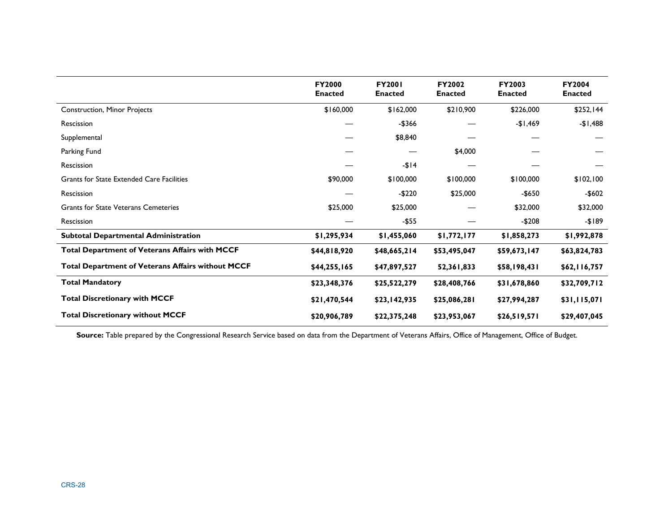|                                                          | <b>FY2000</b><br><b>Enacted</b> | <b>FY2001</b><br><b>Enacted</b> | <b>FY2002</b><br><b>Enacted</b> | <b>FY2003</b><br><b>Enacted</b> | <b>FY2004</b><br><b>Enacted</b> |
|----------------------------------------------------------|---------------------------------|---------------------------------|---------------------------------|---------------------------------|---------------------------------|
| <b>Construction, Minor Projects</b>                      | \$160,000                       | \$162,000                       | \$210,900                       | \$226,000                       | \$252,144                       |
| Rescission                                               |                                 | -\$366                          |                                 | -\$1,469                        | $-$1,488$                       |
| Supplemental                                             |                                 | \$8,840                         |                                 |                                 |                                 |
| Parking Fund                                             |                                 |                                 | \$4,000                         |                                 |                                 |
| Rescission                                               |                                 | $-114$                          |                                 |                                 |                                 |
| Grants for State Extended Care Facilities                | \$90,000                        | \$100,000                       | \$100,000                       | \$100,000                       | \$102,100                       |
| Rescission                                               |                                 | $-$220$                         | \$25,000                        | -\$650                          | -\$602                          |
| <b>Grants for State Veterans Cemeteries</b>              | \$25,000                        | \$25,000                        |                                 | \$32,000                        | \$32,000                        |
| Rescission                                               |                                 | $-$ \$55                        |                                 | $-$208$                         | $-189$                          |
| <b>Subtotal Departmental Administration</b>              | \$1,295,934                     | \$1,455,060                     | \$1,772,177                     | \$1,858,273                     | \$1,992,878                     |
| <b>Total Department of Veterans Affairs with MCCF</b>    | \$44,818,920                    | \$48,665,214                    | \$53,495,047                    | \$59,673,147                    | \$63,824,783                    |
| <b>Total Department of Veterans Affairs without MCCF</b> | \$44,255,165                    | \$47,897,527                    | 52,361,833                      | \$58,198,431                    | \$62,116,757                    |
| <b>Total Mandatory</b>                                   | \$23,348,376                    | \$25,522,279                    | \$28,408,766                    | \$31,678,860                    | \$32,709,712                    |
| <b>Total Discretionary with MCCF</b>                     | \$21,470,544                    | \$23,142,935                    | \$25,086,281                    | \$27,994,287                    | \$31,115,071                    |
| <b>Total Discretionary without MCCF</b>                  | \$20,906,789                    | \$22,375,248                    | \$23,953,067                    | \$26,519,571                    | \$29,407,045                    |

Source: Table prepared by the Congressional Research Service based on data from the Department of Veterans Affairs, Office of Management, Office of Budget.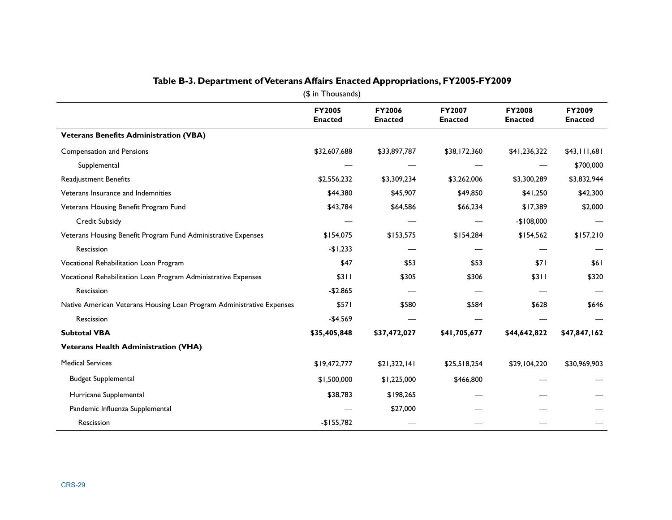| (\$ in Thousands)                                                     |                                 |                          |                                 |                                 |                          |  |
|-----------------------------------------------------------------------|---------------------------------|--------------------------|---------------------------------|---------------------------------|--------------------------|--|
|                                                                       | <b>FY2005</b><br><b>Enacted</b> | FY2006<br><b>Enacted</b> | <b>FY2007</b><br><b>Enacted</b> | <b>FY2008</b><br><b>Enacted</b> | FY2009<br><b>Enacted</b> |  |
| <b>Veterans Benefits Administration (VBA)</b>                         |                                 |                          |                                 |                                 |                          |  |
| <b>Compensation and Pensions</b>                                      | \$32,607,688                    | \$33,897,787             | \$38,172,360                    | \$41,236,322                    | \$43,111,681             |  |
| Supplemental                                                          |                                 |                          |                                 |                                 | \$700,000                |  |
| Readjustment Benefits                                                 | \$2,556,232                     | \$3,309,234              | \$3,262,006                     | \$3,300,289                     | \$3,832,944              |  |
| Veterans Insurance and Indemnities                                    | \$44,380                        | \$45,907                 | \$49,850                        | \$41,250                        | \$42,300                 |  |
| Veterans Housing Benefit Program Fund                                 | \$43,784                        | \$64,586                 | \$66,234                        | \$17,389                        | \$2,000                  |  |
| Credit Subsidy                                                        |                                 |                          |                                 | $-$108,000$                     |                          |  |
| Veterans Housing Benefit Program Fund Administrative Expenses         | \$154,075                       | \$153,575                | \$154,284                       | \$154,562                       | \$157,210                |  |
| Rescission                                                            | $-$1,233$                       |                          |                                 |                                 |                          |  |
| Vocational Rehabilitation Loan Program                                | \$47                            | \$53                     | \$53                            | \$71                            | <b>S61</b>               |  |
| Vocational Rehabilitation Loan Program Administrative Expenses        | \$311                           | \$305                    | \$306                           | \$311                           | \$320                    |  |
| Rescission                                                            | $-$2.865$                       |                          |                                 |                                 |                          |  |
| Native American Veterans Housing Loan Program Administrative Expenses | \$571                           | \$580                    | \$584                           | \$628                           | \$646                    |  |
| Rescission                                                            | $-$4.569$                       |                          |                                 |                                 |                          |  |
| <b>Subtotal VBA</b>                                                   | \$35,405,848                    | \$37,472,027             | \$41,705,677                    | \$44,642,822                    | \$47,847,162             |  |
| <b>Veterans Health Administration (VHA)</b>                           |                                 |                          |                                 |                                 |                          |  |
| <b>Medical Services</b>                                               | \$19,472,777                    | \$21,322,141             | \$25,518,254                    | \$29,104,220                    | \$30,969,903             |  |
| <b>Budget Supplemental</b>                                            | \$1,500,000                     | \$1,225,000              | \$466,800                       |                                 |                          |  |
| Hurricane Supplemental                                                | \$38,783                        | \$198,265                |                                 |                                 |                          |  |
| Pandemic Influenza Supplemental                                       |                                 | \$27,000                 |                                 |                                 |                          |  |
| Rescission                                                            | $-$155,782$                     |                          |                                 |                                 |                          |  |

#### **Table B-3. Department of Veterans Affairs Enacted Appropriations, FY2005-FY2009**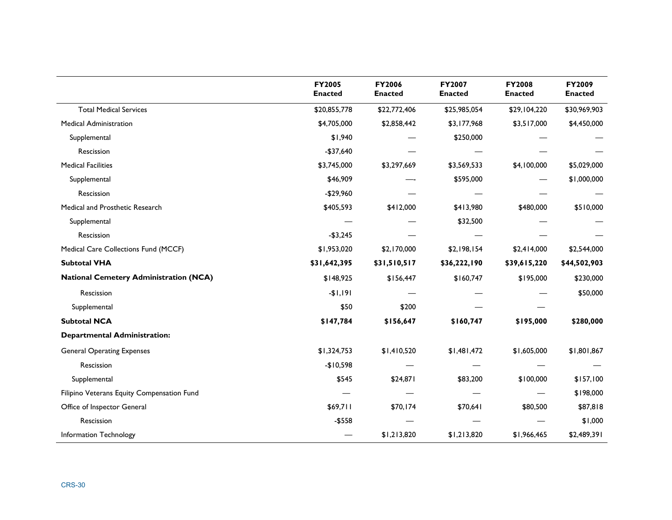|                                               | FY2005<br><b>Enacted</b> | FY2006<br><b>Enacted</b> | <b>FY2007</b><br><b>Enacted</b> | <b>FY2008</b><br><b>Enacted</b> | FY2009<br><b>Enacted</b> |
|-----------------------------------------------|--------------------------|--------------------------|---------------------------------|---------------------------------|--------------------------|
| <b>Total Medical Services</b>                 | \$20,855,778             | \$22,772,406             | \$25,985,054                    | \$29,104,220                    | \$30,969,903             |
| <b>Medical Administration</b>                 | \$4,705,000              | \$2,858,442              | \$3,177,968                     | \$3,517,000                     | \$4,450,000              |
| Supplemental                                  | \$1,940                  |                          | \$250,000                       |                                 |                          |
| Rescission                                    | $-$37,640$               |                          |                                 |                                 |                          |
| <b>Medical Facilities</b>                     | \$3,745,000              | \$3,297,669              | \$3,569,533                     | \$4,100,000                     | \$5,029,000              |
| Supplemental                                  | \$46,909                 |                          | \$595,000                       |                                 | \$1,000,000              |
| Rescission                                    | $-$29,960$               |                          |                                 |                                 |                          |
| Medical and Prosthetic Research               | \$405,593                | \$412,000                | \$413,980                       | \$480,000                       | \$510,000                |
| Supplemental                                  |                          |                          | \$32,500                        |                                 |                          |
| Rescission                                    | $-$3,245$                |                          |                                 |                                 |                          |
| Medical Care Collections Fund (MCCF)          | \$1,953,020              | \$2,170,000              | \$2,198,154                     | \$2,414,000                     | \$2,544,000              |
| <b>Subtotal VHA</b>                           | \$31,642,395             | \$31,510,517             | \$36,222,190                    | \$39,615,220                    | \$44,502,903             |
| <b>National Cemetery Administration (NCA)</b> | \$148,925                | \$156,447                | \$160,747                       | \$195,000                       | \$230,000                |
| Rescission                                    | $-1,191$                 |                          |                                 |                                 | \$50,000                 |
| Supplemental                                  | \$50                     | \$200                    |                                 |                                 |                          |
| <b>Subtotal NCA</b>                           | \$147,784                | \$156,647                | \$160,747                       | \$195,000                       | \$280,000                |
| <b>Departmental Administration:</b>           |                          |                          |                                 |                                 |                          |
| <b>General Operating Expenses</b>             | \$1,324,753              | \$1,410,520              | \$1,481,472                     | \$1,605,000                     | \$1,801,867              |
| Rescission                                    | $-$10,598$               |                          |                                 |                                 |                          |
| Supplemental                                  | \$545                    | \$24,871                 | \$83,200                        | \$100,000                       | \$157,100                |
| Filipino Veterans Equity Compensation Fund    |                          |                          |                                 |                                 | \$198,000                |
| Office of Inspector General                   | \$69,711                 | \$70,174                 | \$70,641                        | \$80,500                        | \$87,818                 |
| Rescission                                    | $-$ \$558                |                          |                                 |                                 | \$1,000                  |
| Information Technology                        |                          | \$1,213,820              | \$1,213,820                     | \$1,966,465                     | \$2,489,391              |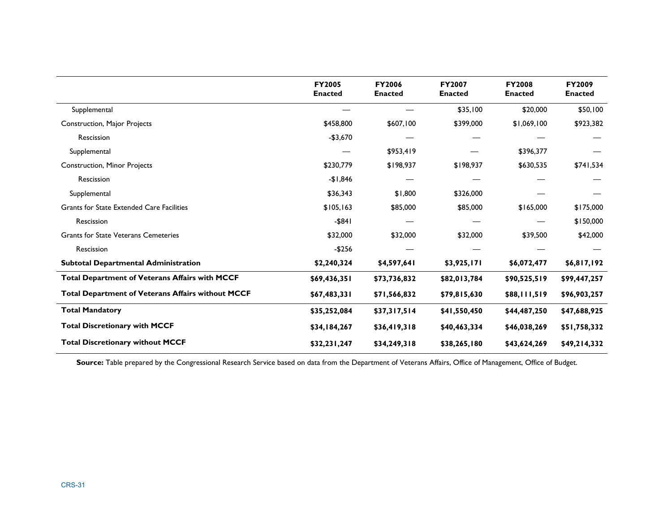|                                                          | <b>FY2005</b><br><b>Enacted</b> | <b>FY2006</b><br><b>Enacted</b> | <b>FY2007</b><br><b>Enacted</b> | <b>FY2008</b><br><b>Enacted</b> | <b>FY2009</b><br><b>Enacted</b> |
|----------------------------------------------------------|---------------------------------|---------------------------------|---------------------------------|---------------------------------|---------------------------------|
| Supplemental                                             |                                 |                                 | \$35,100                        | \$20,000                        | \$50,100                        |
| <b>Construction, Major Projects</b>                      | \$458,800                       | \$607,100                       | \$399,000                       | \$1,069,100                     | \$923,382                       |
| Rescission                                               | $-$3,670$                       |                                 |                                 |                                 |                                 |
| Supplemental                                             |                                 | \$953,419                       |                                 | \$396,377                       |                                 |
| Construction, Minor Projects                             | \$230,779                       | \$198,937                       | \$198,937                       | \$630,535                       | \$741,534                       |
| Rescission                                               | $-$1,846$                       |                                 |                                 |                                 |                                 |
| Supplemental                                             | \$36,343                        | \$1,800                         | \$326,000                       |                                 |                                 |
| Grants for State Extended Care Facilities                | \$105,163                       | \$85,000                        | \$85,000                        | \$165,000                       | \$175,000                       |
| Rescission                                               | $-$ \$84 $1$                    |                                 |                                 |                                 | \$150,000                       |
| <b>Grants for State Veterans Cemeteries</b>              | \$32,000                        | \$32,000                        | \$32,000                        | \$39,500                        | \$42,000                        |
| Rescission                                               | $-$256$                         |                                 |                                 |                                 |                                 |
| <b>Subtotal Departmental Administration</b>              | \$2,240,324                     | \$4,597,641                     | \$3,925,171                     | \$6,072,477                     | \$6,817,192                     |
| <b>Total Department of Veterans Affairs with MCCF</b>    | \$69,436,351                    | \$73,736,832                    | \$82,013,784                    | \$90,525,519                    | \$99,447,257                    |
| <b>Total Department of Veterans Affairs without MCCF</b> | \$67,483,331                    | \$71,566,832                    | \$79,815,630                    | \$88, 111, 519                  | \$96,903,257                    |
| <b>Total Mandatory</b>                                   | \$35,252,084                    | \$37,317,514                    | \$41,550,450                    | \$44,487,250                    | \$47,688,925                    |
| <b>Total Discretionary with MCCF</b>                     | \$34,184,267                    | \$36,419,318                    | \$40,463,334                    | \$46,038,269                    | \$51,758,332                    |
| <b>Total Discretionary without MCCF</b>                  | \$32,231,247                    | \$34,249,318                    | \$38,265,180                    | \$43,624,269                    | \$49,214,332                    |

Source: Table prepared by the Congressional Research Service based on data from the Department of Veterans Affairs, Office of Management, Office of Budget.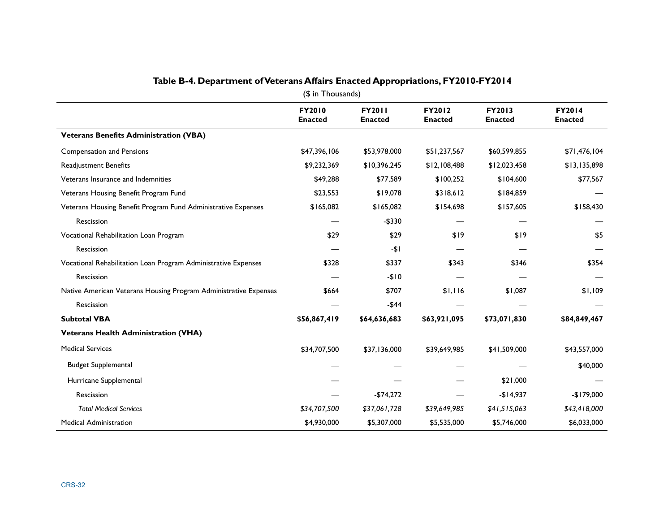| (\$ in Thousands)                                                |                          |                                 |                                 |                          |                                 |  |  |  |  |
|------------------------------------------------------------------|--------------------------|---------------------------------|---------------------------------|--------------------------|---------------------------------|--|--|--|--|
|                                                                  | FY2010<br><b>Enacted</b> | <b>FY2011</b><br><b>Enacted</b> | <b>FY2012</b><br><b>Enacted</b> | FY2013<br><b>Enacted</b> | <b>FY2014</b><br><b>Enacted</b> |  |  |  |  |
| <b>Veterans Benefits Administration (VBA)</b>                    |                          |                                 |                                 |                          |                                 |  |  |  |  |
| <b>Compensation and Pensions</b>                                 | \$47,396,106             | \$53,978,000                    | \$51,237,567                    | \$60,599,855             | \$71,476,104                    |  |  |  |  |
| Readjustment Benefits                                            | \$9,232,369              | \$10,396,245                    | \$12,108,488                    | \$12,023,458             | \$13,135,898                    |  |  |  |  |
| Veterans Insurance and Indemnities                               | \$49,288                 | \$77,589                        | \$100,252                       | \$104,600                | \$77,567                        |  |  |  |  |
| Veterans Housing Benefit Program Fund                            | \$23,553                 | \$19,078                        | \$318,612                       | \$184,859                |                                 |  |  |  |  |
| Veterans Housing Benefit Program Fund Administrative Expenses    | \$165,082                | \$165,082                       | \$154,698                       | \$157,605                | \$158,430                       |  |  |  |  |
| Rescission                                                       |                          | $-$330$                         |                                 |                          |                                 |  |  |  |  |
| Vocational Rehabilitation Loan Program                           | \$29                     | \$29                            | \$19                            | \$19                     | \$5                             |  |  |  |  |
| Rescission                                                       |                          | $-11$                           |                                 |                          |                                 |  |  |  |  |
| Vocational Rehabilitation Loan Program Administrative Expenses   | \$328                    | \$337                           | \$343                           | \$346                    | \$354                           |  |  |  |  |
| Rescission                                                       |                          | $-$10$                          |                                 |                          |                                 |  |  |  |  |
| Native American Veterans Housing Program Administrative Expenses | \$664                    | \$707                           | \$1,116                         | \$1,087                  | \$1,109                         |  |  |  |  |
| Rescission                                                       |                          | $-$44$                          |                                 |                          |                                 |  |  |  |  |
| <b>Subtotal VBA</b>                                              | \$56,867,419             | \$64,636,683                    | \$63,921,095                    | \$73,071,830             | \$84,849,467                    |  |  |  |  |
| <b>Veterans Health Administration (VHA)</b>                      |                          |                                 |                                 |                          |                                 |  |  |  |  |
| <b>Medical Services</b>                                          | \$34,707,500             | \$37,136,000                    | \$39,649,985                    | \$41,509,000             | \$43,557,000                    |  |  |  |  |
| <b>Budget Supplemental</b>                                       |                          |                                 |                                 |                          | \$40,000                        |  |  |  |  |
| Hurricane Supplemental                                           |                          |                                 |                                 | \$21,000                 |                                 |  |  |  |  |
| Rescission                                                       |                          | $-$74,272$                      |                                 | $-$14,937$               | $-$179,000$                     |  |  |  |  |
| <b>Total Medical Services</b>                                    | \$34,707,500             | \$37,061,728                    | \$39,649,985                    | \$41,515,063             | \$43,418,000                    |  |  |  |  |
| <b>Medical Administration</b>                                    | \$4,930,000              | \$5,307,000                     | \$5,535,000                     | \$5,746,000              | \$6,033,000                     |  |  |  |  |

#### **Table B-4. Department of Veterans Affairs Enacted Appropriations, FY2010-FY2014**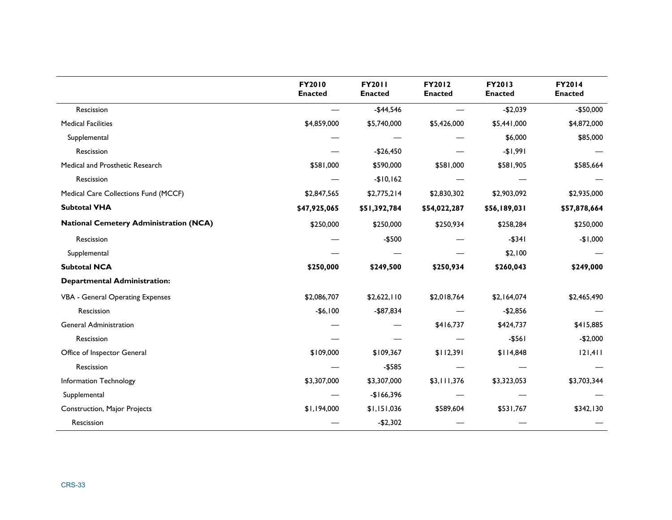|                                               | FY2010<br><b>Enacted</b> | <b>FY2011</b><br><b>Enacted</b> | FY2012<br><b>Enacted</b> | FY2013<br><b>Enacted</b> | FY2014<br><b>Enacted</b> |
|-----------------------------------------------|--------------------------|---------------------------------|--------------------------|--------------------------|--------------------------|
| Rescission                                    |                          | $-$44,546$                      |                          | $-$2,039$                | $-$50,000$               |
| <b>Medical Facilities</b>                     | \$4,859,000              | \$5,740,000                     | \$5,426,000              | \$5,441,000              | \$4,872,000              |
| Supplemental                                  |                          |                                 |                          | \$6,000                  | \$85,000                 |
| Rescission                                    |                          | $-$26,450$                      |                          | $-$1,991$                |                          |
| Medical and Prosthetic Research               | \$581,000                | \$590,000                       | \$581,000                | \$581,905                | \$585,664                |
| Rescission                                    |                          | $-$10,162$                      |                          |                          |                          |
| Medical Care Collections Fund (MCCF)          | \$2,847,565              | \$2,775,214                     | \$2,830,302              | \$2,903,092              | \$2,935,000              |
| <b>Subtotal VHA</b>                           | \$47,925,065             | \$51,392,784                    | \$54,022,287             | \$56,189,031             | \$57,878,664             |
| <b>National Cemetery Administration (NCA)</b> | \$250,000                | \$250,000                       | \$250,934                | \$258,284                | \$250,000                |
| Rescission                                    |                          | $-$500$                         |                          | $-$ \$341                | $-$1,000$                |
| Supplemental                                  |                          |                                 |                          | \$2,100                  |                          |
| <b>Subtotal NCA</b>                           | \$250,000                | \$249,500                       | \$250,934                | \$260,043                | \$249,000                |
| <b>Departmental Administration:</b>           |                          |                                 |                          |                          |                          |
| VBA - General Operating Expenses              | \$2,086,707              | \$2,622,110                     | \$2,018,764              | \$2,164,074              | \$2,465,490              |
| Rescission                                    | $-$6,100$                | $-$ \$87,834                    |                          | $-$2,856$                |                          |
| <b>General Administration</b>                 |                          |                                 | \$416,737                | \$424,737                | \$415,885                |
| Rescission                                    |                          |                                 |                          | $-$ \$561                | $-$2,000$                |
| Office of Inspector General                   | \$109,000                | \$109,367                       | \$112,391                | \$114,848                | 121,411                  |
| Rescission                                    |                          | $- $585$                        |                          |                          |                          |
| Information Technology                        | \$3,307,000              | \$3,307,000                     | \$3,111,376              | \$3,323,053              | \$3,703,344              |
| Supplemental                                  |                          | $-$166,396$                     |                          |                          |                          |
| Construction, Major Projects                  | \$1,194,000              | \$1,151,036                     | \$589,604                | \$531,767                | \$342,130                |
| Rescission                                    |                          | $-$2,302$                       |                          |                          |                          |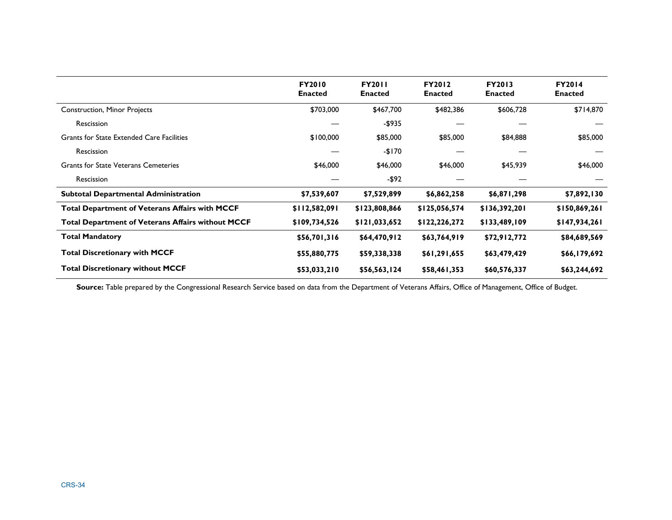|                                                          | <b>FY2010</b><br><b>Enacted</b> | <b>FY2011</b><br><b>Enacted</b> | <b>FY2012</b><br><b>Enacted</b> | <b>FY2013</b><br><b>Enacted</b> | <b>FY2014</b><br><b>Enacted</b> |
|----------------------------------------------------------|---------------------------------|---------------------------------|---------------------------------|---------------------------------|---------------------------------|
| <b>Construction, Minor Projects</b>                      | \$703,000                       | \$467,700                       | \$482,386                       | \$606,728                       | \$714,870                       |
| Rescission                                               |                                 | -\$935                          |                                 |                                 |                                 |
| <b>Grants for State Extended Care Facilities</b>         | \$100,000                       | \$85,000                        | \$85,000                        | \$84,888                        | \$85,000                        |
| <b>Rescission</b>                                        |                                 | $-$170$                         |                                 |                                 |                                 |
| <b>Grants for State Veterans Cemeteries</b>              | \$46,000                        | \$46,000                        | \$46,000                        | \$45,939                        | \$46,000                        |
| Rescission                                               |                                 | $-$ \$92                        |                                 |                                 |                                 |
| <b>Subtotal Departmental Administration</b>              | \$7,539,607                     | \$7,529,899                     | \$6,862,258                     | \$6,871,298                     | \$7,892,130                     |
| <b>Total Department of Veterans Affairs with MCCF</b>    | \$112,582,091                   | \$123,808,866                   | \$125,056,574                   | \$136,392,201                   | \$150,869,261                   |
| <b>Total Department of Veterans Affairs without MCCF</b> | \$109,734,526                   | \$121,033,652                   | \$122,226,272                   | \$133,489,109                   | \$147,934,261                   |
| <b>Total Mandatory</b>                                   | \$56,701,316                    | \$64,470,912                    | \$63,764,919                    | \$72,912,772                    | \$84,689,569                    |
| <b>Total Discretionary with MCCF</b>                     | \$55,880,775                    | \$59,338,338                    | \$61,291,655                    | \$63,479,429                    | \$66,179,692                    |
| <b>Total Discretionary without MCCF</b>                  | \$53,033,210                    | \$56,563,124                    | \$58,461,353                    | \$60,576,337                    | \$63,244,692                    |

Source: Table prepared by the Congressional Research Service based on data from the Department of Veterans Affairs, Office of Management, Office of Budget.